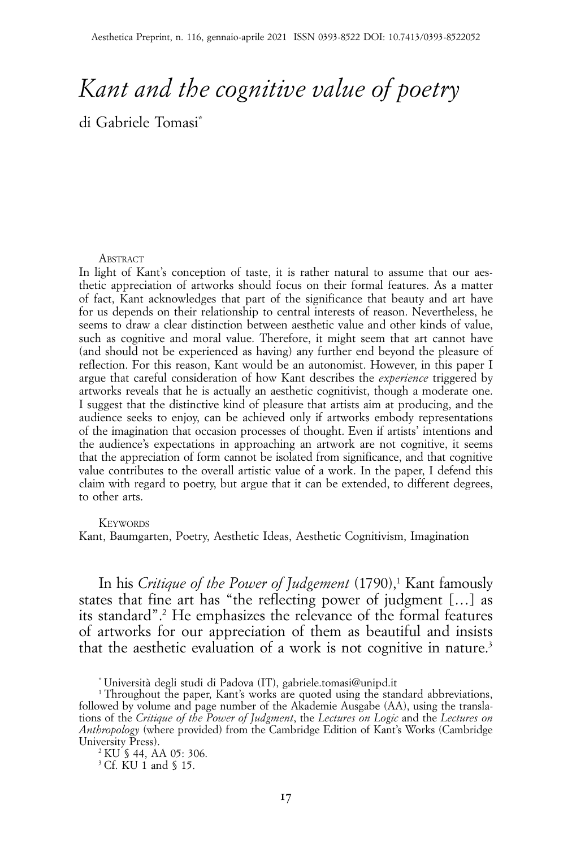# *Kant and the cognitive value of poetry*

di Gabriele Tomasi\*

#### **ABSTRACT**

In light of Kant's conception of taste, it is rather natural to assume that our aesthetic appreciation of artworks should focus on their formal features. As a matter of fact, Kant acknowledges that part of the significance that beauty and art have for us depends on their relationship to central interests of reason. Nevertheless, he seems to draw a clear distinction between aesthetic value and other kinds of value, such as cognitive and moral value. Therefore, it might seem that art cannot have (and should not be experienced as having) any further end beyond the pleasure of reflection. For this reason, Kant would be an autonomist. However, in this paper I argue that careful consideration of how Kant describes the *experience* triggered by artworks reveals that he is actually an aesthetic cognitivist, though a moderate one. I suggest that the distinctive kind of pleasure that artists aim at producing, and the audience seeks to enjoy, can be achieved only if artworks embody representations of the imagination that occasion processes of thought. Even if artists' intentions and the audience's expectations in approaching an artwork are not cognitive, it seems that the appreciation of form cannot be isolated from significance, and that cognitive value contributes to the overall artistic value of a work. In the paper, I defend this claim with regard to poetry, but argue that it can be extended, to different degrees, to other arts.

#### **KEYWORDS**

Kant, Baumgarten, Poetry, Aesthetic Ideas, Aesthetic Cognitivism, Imagination

In his *Critique of the Power of Judgement* (1790),<sup>1</sup> Kant famously states that fine art has "the reflecting power of judgment […] as its standard".2 He emphasizes the relevance of the formal features of artworks for our appreciation of them as beautiful and insists that the aesthetic evaluation of a work is not cognitive in nature.<sup>3</sup>

<sup>\*</sup> Università degli studi di Padova (IT), gabriele.tomasi@unipd.it

<sup>&</sup>lt;sup>1</sup> Throughout the paper, Kant's works are quoted using the standard abbreviations, followed by volume and page number of the Akademie Ausgabe (AA), using the translations of the *Critique of the Power of Judgment*, the *Lectures on Logic* and the *Lectures on Anthropology* (where provided) from the Cambridge Edition of Kant's Works (Cambridge University Press).

<sup>2</sup> KU § 44, AA 05: 306.

<sup>3</sup> Cf. KU 1 and § 15.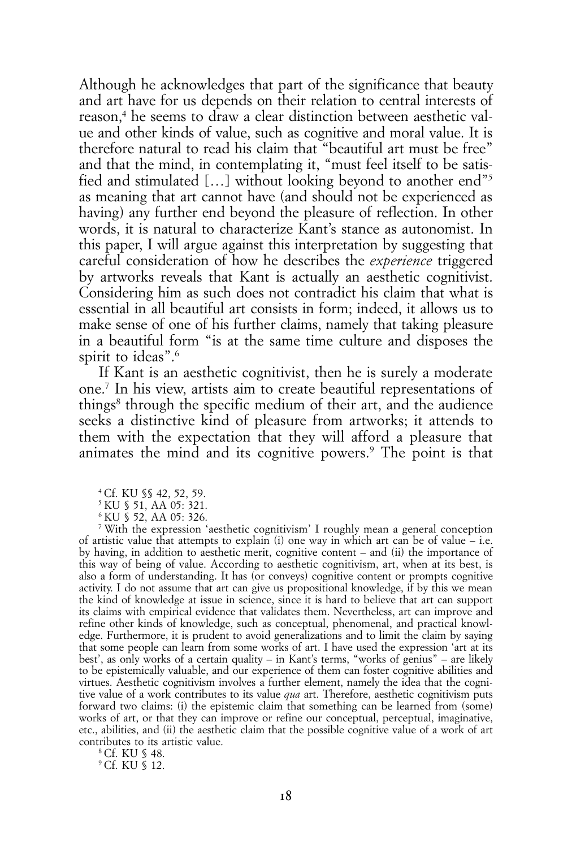Although he acknowledges that part of the significance that beauty and art have for us depends on their relation to central interests of reason,<sup>4</sup> he seems to draw a clear distinction between aesthetic value and other kinds of value, such as cognitive and moral value. It is therefore natural to read his claim that "beautiful art must be free" and that the mind, in contemplating it, "must feel itself to be satisfied and stimulated […] without looking beyond to another end"5 as meaning that art cannot have (and should not be experienced as having) any further end beyond the pleasure of reflection. In other words, it is natural to characterize Kant's stance as autonomist. In this paper, I will argue against this interpretation by suggesting that careful consideration of how he describes the *experience* triggered by artworks reveals that Kant is actually an aesthetic cognitivist. Considering him as such does not contradict his claim that what is essential in all beautiful art consists in form; indeed, it allows us to make sense of one of his further claims, namely that taking pleasure in a beautiful form "is at the same time culture and disposes the spirit to ideas".<sup>6</sup>

If Kant is an aesthetic cognitivist, then he is surely a moderate one.7 In his view, artists aim to create beautiful representations of things<sup>8</sup> through the specific medium of their art, and the audience seeks a distinctive kind of pleasure from artworks; it attends to them with the expectation that they will afford a pleasure that animates the mind and its cognitive powers.9 The point is that

4 Cf. KU §§ 42, 52, 59.

5 KU § 51, AA 05: 321.

6 KU § 52, AA 05: 326.

7 With the expression 'aesthetic cognitivism' I roughly mean a general conception of artistic value that attempts to explain (i) one way in which art can be of value  $-$  i.e. by having, in addition to aesthetic merit, cognitive content – and (ii) the importance of this way of being of value. According to aesthetic cognitivism, art, when at its best, is also a form of understanding. It has (or conveys) cognitive content or prompts cognitive activity. I do not assume that art can give us propositional knowledge, if by this we mean the kind of knowledge at issue in science, since it is hard to believe that art can support its claims with empirical evidence that validates them. Nevertheless, art can improve and refine other kinds of knowledge, such as conceptual, phenomenal, and practical knowledge. Furthermore, it is prudent to avoid generalizations and to limit the claim by saying that some people can learn from some works of art. I have used the expression 'art at its best', as only works of a certain quality – in Kant's terms, "works of genius" – are likely to be epistemically valuable, and our experience of them can foster cognitive abilities and virtues. Aesthetic cognitivism involves a further element, namely the idea that the cognitive value of a work contributes to its value *qua* art. Therefore, aesthetic cognitivism puts forward two claims: (i) the epistemic claim that something can be learned from (some) works of art, or that they can improve or refine our conceptual, perceptual, imaginative, etc., abilities, and (ii) the aesthetic claim that the possible cognitive value of a work of art contributes to its artistic value.

8 Cf. KU § 48.

9 Cf. KU § 12.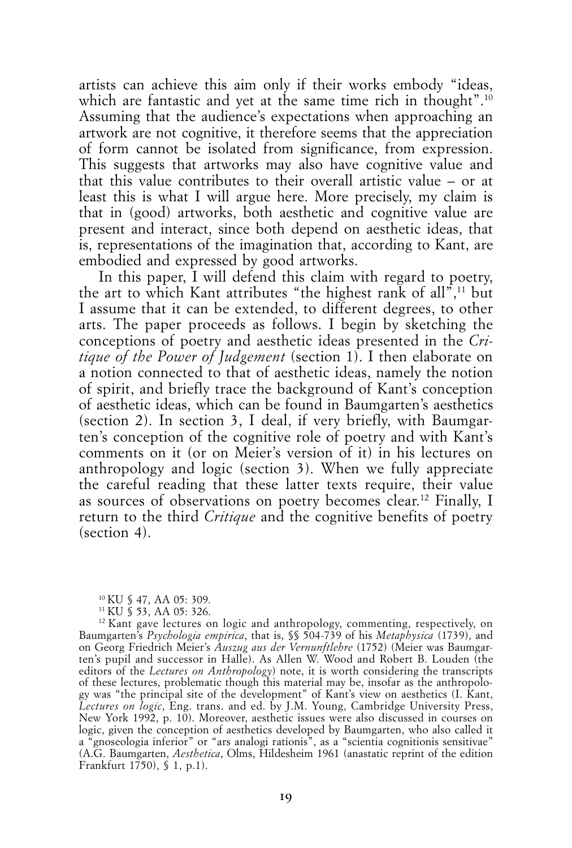artists can achieve this aim only if their works embody "ideas, which are fantastic and yet at the same time rich in thought".<sup>10</sup> Assuming that the audience's expectations when approaching an artwork are not cognitive, it therefore seems that the appreciation of form cannot be isolated from significance, from expression. This suggests that artworks may also have cognitive value and that this value contributes to their overall artistic value – or at least this is what I will argue here. More precisely, my claim is that in (good) artworks, both aesthetic and cognitive value are present and interact, since both depend on aesthetic ideas, that is, representations of the imagination that, according to Kant, are embodied and expressed by good artworks.

In this paper, I will defend this claim with regard to poetry, the art to which Kant attributes "the highest rank of all", $11$  but I assume that it can be extended, to different degrees, to other arts. The paper proceeds as follows. I begin by sketching the conceptions of poetry and aesthetic ideas presented in the *Critique of the Power of Judgement* (section 1). I then elaborate on a notion connected to that of aesthetic ideas, namely the notion of spirit, and briefly trace the background of Kant's conception of aesthetic ideas, which can be found in Baumgarten's aesthetics (section 2). In section 3, I deal, if very briefly, with Baumgarten's conception of the cognitive role of poetry and with Kant's comments on it (or on Meier's version of it) in his lectures on anthropology and logic (section 3). When we fully appreciate the careful reading that these latter texts require, their value as sources of observations on poetry becomes clear.12 Finally, I return to the third *Critique* and the cognitive benefits of poetry (section 4).

<sup>10</sup> KU § 47, AA 05: 309.

<sup>11</sup> KU § 53, AA 05: 326.

<sup>&</sup>lt;sup>12</sup> Kant gave lectures on logic and anthropology, commenting, respectively, on Baumgarten's *Psychologia empirica*, that is, §§ 504-739 of his *Metaphysica* (1739), and on Georg Friedrich Meier's *Auszug aus der Vernunftlehre* (1752) (Meier was Baumgarten's pupil and successor in Halle). As Allen W. Wood and Robert B. Louden (the editors of the *Lectures on Anthropology*) note, it is worth considering the transcripts of these lectures, problematic though this material may be, insofar as the anthropology was "the principal site of the development" of Kant's view on aesthetics (I. Kant, *Lectures on logic*, Eng. trans. and ed. by J.M. Young, Cambridge University Press, New York 1992, p. 10). Moreover, aesthetic issues were also discussed in courses on logic, given the conception of aesthetics developed by Baumgarten, who also called it a "gnoseologia inferior" or "ars analogi rationis", as a "scientia cognitionis sensitivae" (A.G. Baumgarten, *Aesthetica*, Olms, Hildesheim 1961 (anastatic reprint of the edition Frankfurt 1750), § 1, p.1).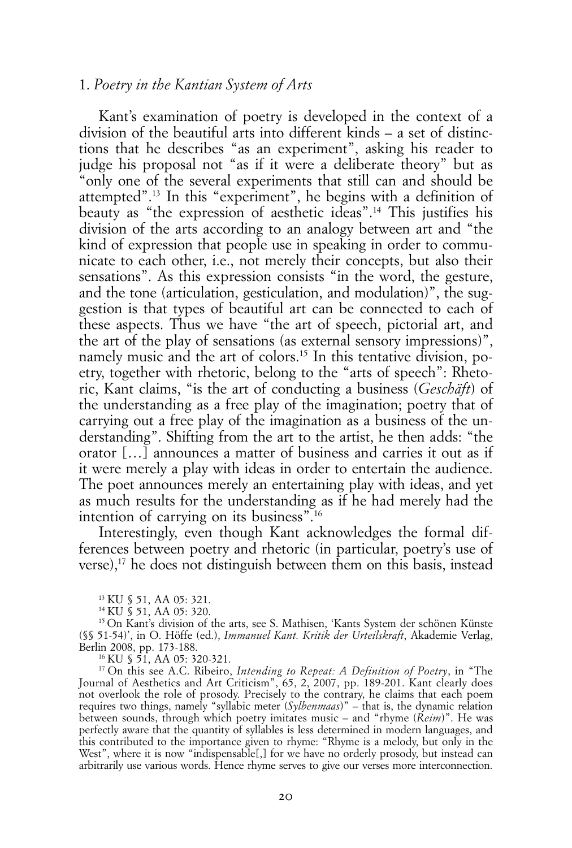## 1. *Poetry in the Kantian System of Arts*

Kant's examination of poetry is developed in the context of a division of the beautiful arts into different kinds – a set of distinctions that he describes "as an experiment", asking his reader to judge his proposal not "as if it were a deliberate theory" but as "only one of the several experiments that still can and should be attempted".13 In this "experiment", he begins with a definition of beauty as "the expression of aesthetic ideas".14 This justifies his division of the arts according to an analogy between art and "the kind of expression that people use in speaking in order to communicate to each other, i.e., not merely their concepts, but also their sensations". As this expression consists "in the word, the gesture, and the tone (articulation, gesticulation, and modulation)", the suggestion is that types of beautiful art can be connected to each of these aspects. Thus we have "the art of speech, pictorial art, and the art of the play of sensations (as external sensory impressions)", namely music and the art of colors.<sup>15</sup> In this tentative division, poetry, together with rhetoric, belong to the "arts of speech": Rhetoric, Kant claims, "is the art of conducting a business (*Geschäft*) of the understanding as a free play of the imagination; poetry that of carrying out a free play of the imagination as a business of the understanding". Shifting from the art to the artist, he then adds: "the orator […] announces a matter of business and carries it out as if it were merely a play with ideas in order to entertain the audience. The poet announces merely an entertaining play with ideas, and yet as much results for the understanding as if he had merely had the intention of carrying on its business".16

Interestingly, even though Kant acknowledges the formal differences between poetry and rhetoric (in particular, poetry's use of verse),17 he does not distinguish between them on this basis, instead

16 KU § 51, AA 05: 320-321.

17 On this see A.C. Ribeiro, *Intending to Repeat: A Definition of Poetry*, in "The Journal of Aesthetics and Art Criticism", 65, 2, 2007, pp. 189-201. Kant clearly does not overlook the role of prosody. Precisely to the contrary, he claims that each poem requires two things, namely "syllabic meter (*Sylbenmaas*)" – that is, the dynamic relation between sounds, through which poetry imitates music – and "rhyme (*Reim*)". He was perfectly aware that the quantity of syllables is less determined in modern languages, and this contributed to the importance given to rhyme: "Rhyme is a melody, but only in the West", where it is now "indispensable[,] for we have no orderly prosody, but instead can arbitrarily use various words. Hence rhyme serves to give our verses more interconnection.

<sup>13</sup> KU § 51, AA 05: 321.

<sup>14</sup> KU § 51, AA 05: 320.

<sup>&</sup>lt;sup>15</sup> On Kant's division of the arts, see S. Mathisen, 'Kants System der schönen Künste (§§ 51-54)', in O. Höffe (ed.), *Immanuel Kant. Kritik der Urteilskraft*, Akademie Verlag, Berlin 2008, pp. 173-188.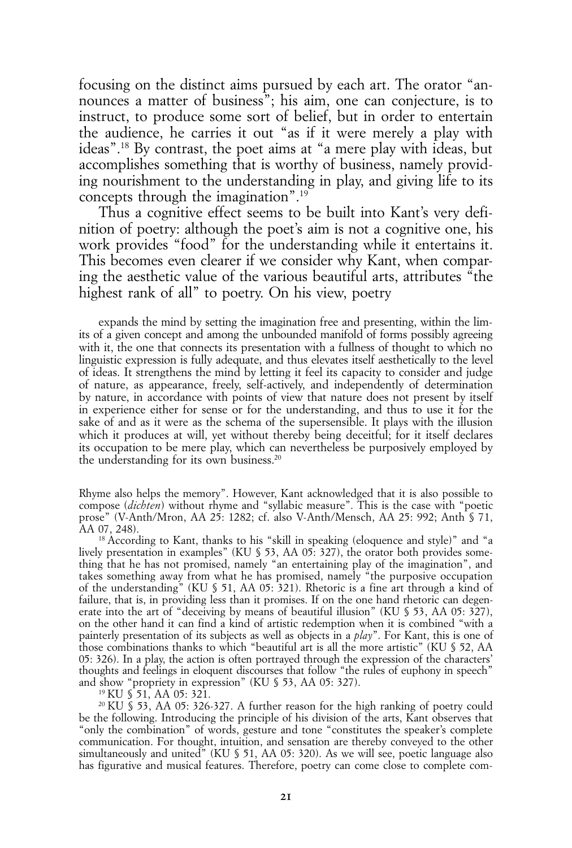focusing on the distinct aims pursued by each art. The orator "announces a matter of business"; his aim, one can conjecture, is to instruct, to produce some sort of belief, but in order to entertain the audience, he carries it out "as if it were merely a play with ideas".18 By contrast, the poet aims at "a mere play with ideas, but accomplishes something that is worthy of business, namely providing nourishment to the understanding in play, and giving life to its concepts through the imagination".19

Thus a cognitive effect seems to be built into Kant's very definition of poetry: although the poet's aim is not a cognitive one, his work provides "food" for the understanding while it entertains it. This becomes even clearer if we consider why Kant, when comparing the aesthetic value of the various beautiful arts, attributes "the highest rank of all" to poetry. On his view, poetry

expands the mind by setting the imagination free and presenting, within the limits of a given concept and among the unbounded manifold of forms possibly agreeing with it, the one that connects its presentation with a fullness of thought to which no linguistic expression is fully adequate, and thus elevates itself aesthetically to the level of ideas. It strengthens the mind by letting it feel its capacity to consider and judge of nature, as appearance, freely, self-actively, and independently of determination by nature, in accordance with points of view that nature does not present by itself in experience either for sense or for the understanding, and thus to use it for the sake of and as it were as the schema of the supersensible. It plays with the illusion which it produces at will, yet without thereby being deceitful; for it itself declares its occupation to be mere play, which can nevertheless be purposively employed by the understanding for its own business.<sup>20</sup>

Rhyme also helps the memory". However, Kant acknowledged that it is also possible to compose (*dichten*) without rhyme and "syllabic measure". This is the case with "poetic prose" (V-Anth/Mron, AA 25: 1282; cf. also V-Anth/Mensch, AA 25: 992; Anth § 71, AA 07, 248).

<sup>18</sup> According to Kant, thanks to his "skill in speaking (eloquence and style)" and "a lively presentation in examples" (KU § 53, AA 05: 327), the orator both provides something that he has not promised, namely "an entertaining play of the imagination", and takes something away from what he has promised, namely "the purposive occupation of the understanding" (KU § 51, AA 05: 321). Rhetoric is a fine art through a kind of failure, that is, in providing less than it promises. If on the one hand rhetoric can degenerate into the art of "deceiving by means of beautiful illusion" (KU § 53, AA 05: 327), on the other hand it can find a kind of artistic redemption when it is combined "with a painterly presentation of its subjects as well as objects in a *play*". For Kant, this is one of those combinations thanks to which "beautiful art is all the more artistic" (KU § 52, AA 05: 326). In a play, the action is often portrayed through the expression of the characters' thoughts and feelings in eloquent discourses that follow "the rules of euphony in speech" and show "propriety in expression" (KU § 53, AA 05: 327).

19 KU § 51, AA 05: 321.

20 KU § 53, AA 05: 326-327. A further reason for the high ranking of poetry could be the following. Introducing the principle of his division of the arts, Kant observes that "only the combination" of words, gesture and tone "constitutes the speaker's complete communication. For thought, intuition, and sensation are thereby conveyed to the other simultaneously and united<sup>"</sup> (KU  $\frac{1}{2}$  51, AA 05: 320). As we will see, poetic language also has figurative and musical features. Therefore, poetry can come close to complete com-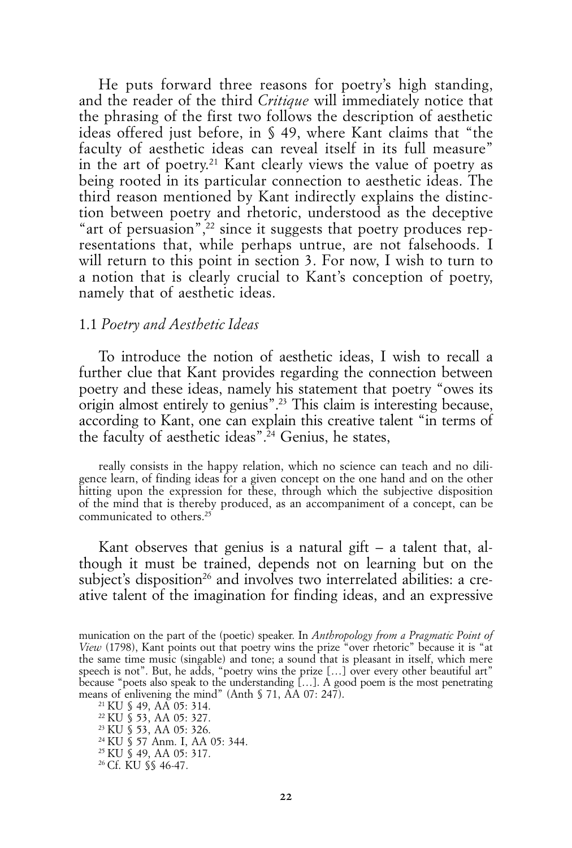He puts forward three reasons for poetry's high standing, and the reader of the third *Critique* will immediately notice that the phrasing of the first two follows the description of aesthetic ideas offered just before, in § 49, where Kant claims that "the faculty of aesthetic ideas can reveal itself in its full measure" in the art of poetry.21 Kant clearly views the value of poetry as being rooted in its particular connection to aesthetic ideas. The third reason mentioned by Kant indirectly explains the distinction between poetry and rhetoric, understood as the deceptive "art of persuasion",<sup>22</sup> since it suggests that poetry produces representations that, while perhaps untrue, are not falsehoods. I will return to this point in section 3. For now, I wish to turn to a notion that is clearly crucial to Kant's conception of poetry, namely that of aesthetic ideas.

#### 1.1 *Poetry and Aesthetic Ideas*

To introduce the notion of aesthetic ideas, I wish to recall a further clue that Kant provides regarding the connection between poetry and these ideas, namely his statement that poetry "owes its origin almost entirely to genius".23 This claim is interesting because, according to Kant, one can explain this creative talent "in terms of the faculty of aesthetic ideas".<sup> $24$ </sup> Genius, he states,

really consists in the happy relation, which no science can teach and no diligence learn, of finding ideas for a given concept on the one hand and on the other hitting upon the expression for these, through which the subjective disposition of the mind that is thereby produced, as an accompaniment of a concept, can be communicated to others.<sup>25</sup>

Kant observes that genius is a natural gift  $-$  a talent that, although it must be trained, depends not on learning but on the subject's disposition<sup>26</sup> and involves two interrelated abilities: a creative talent of the imagination for finding ideas, and an expressive

21 KU § 49, AA 05: 314. 22 KU § 53, AA 05: 327. 23 KU § 53, AA 05: 326. 24 KU § 57 Anm. I, AA 05: 344. 25 KU § 49, AA 05: 317. 26 Cf. KU §§ 46-47.

munication on the part of the (poetic) speaker. In *Anthropology from a Pragmatic Point of View* (1798), Kant points out that poetry wins the prize "over rhetoric" because it is "at the same time music (singable) and tone; a sound that is pleasant in itself, which mere speech is not". But, he adds, "poetry wins the prize […] over every other beautiful art" because "poets also speak to the understanding […]. A good poem is the most penetrating means of enlivening the mind" (Anth § 71, AA 07: 247).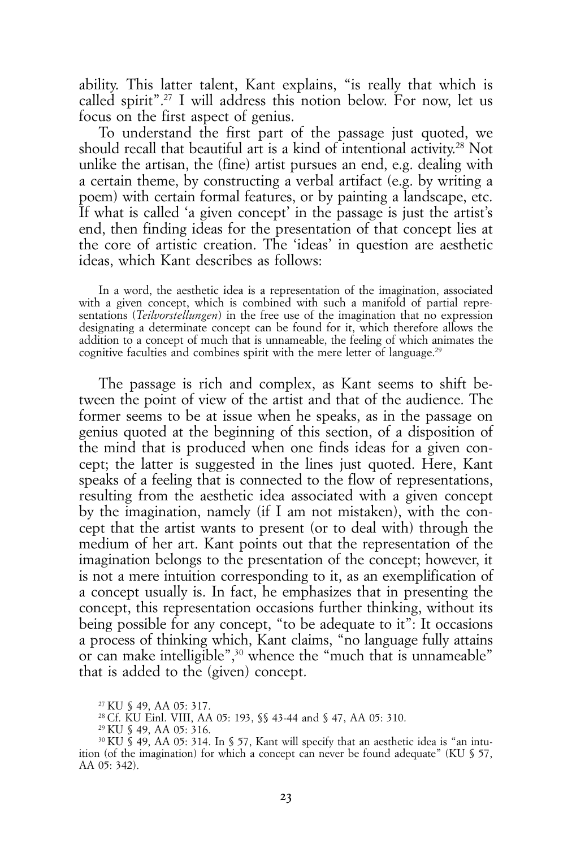ability. This latter talent, Kant explains, "is really that which is called spirit".27 I will address this notion below. For now, let us focus on the first aspect of genius.

To understand the first part of the passage just quoted, we should recall that beautiful art is a kind of intentional activity.28 Not unlike the artisan, the (fine) artist pursues an end, e.g. dealing with a certain theme, by constructing a verbal artifact (e.g. by writing a poem) with certain formal features, or by painting a landscape, etc. If what is called 'a given concept' in the passage is just the artist's end, then finding ideas for the presentation of that concept lies at the core of artistic creation. The 'ideas' in question are aesthetic ideas, which Kant describes as follows:

In a word, the aesthetic idea is a representation of the imagination, associated with a given concept, which is combined with such a manifold of partial representations (*Teilvorstellungen*) in the free use of the imagination that no expression designating a determinate concept can be found for it, which therefore allows the addition to a concept of much that is unnameable, the feeling of which animates the cognitive faculties and combines spirit with the mere letter of language.<sup>29</sup>

The passage is rich and complex, as Kant seems to shift between the point of view of the artist and that of the audience. The former seems to be at issue when he speaks, as in the passage on genius quoted at the beginning of this section, of a disposition of the mind that is produced when one finds ideas for a given concept; the latter is suggested in the lines just quoted. Here, Kant speaks of a feeling that is connected to the flow of representations, resulting from the aesthetic idea associated with a given concept by the imagination, namely (if I am not mistaken), with the concept that the artist wants to present (or to deal with) through the medium of her art. Kant points out that the representation of the imagination belongs to the presentation of the concept; however, it is not a mere intuition corresponding to it, as an exemplification of a concept usually is. In fact, he emphasizes that in presenting the concept, this representation occasions further thinking, without its being possible for any concept, "to be adequate to it": It occasions a process of thinking which, Kant claims, "no language fully attains or can make intelligible",<sup>30</sup> whence the "much that is unnameable" that is added to the (given) concept.

<sup>27</sup> KU § 49, AA 05: 317.

<sup>28</sup> Cf. KU Einl. VIII, AA 05: 193, §§ 43-44 and § 47, AA 05: 310.

<sup>29</sup> KU § 49, AA 05: 316.

<sup>30</sup> KU § 49, AA 05: 314. In § 57, Kant will specify that an aesthetic idea is "an intuition (of the imagination) for which a concept can never be found adequate" (KU § 57, AA 05: 342).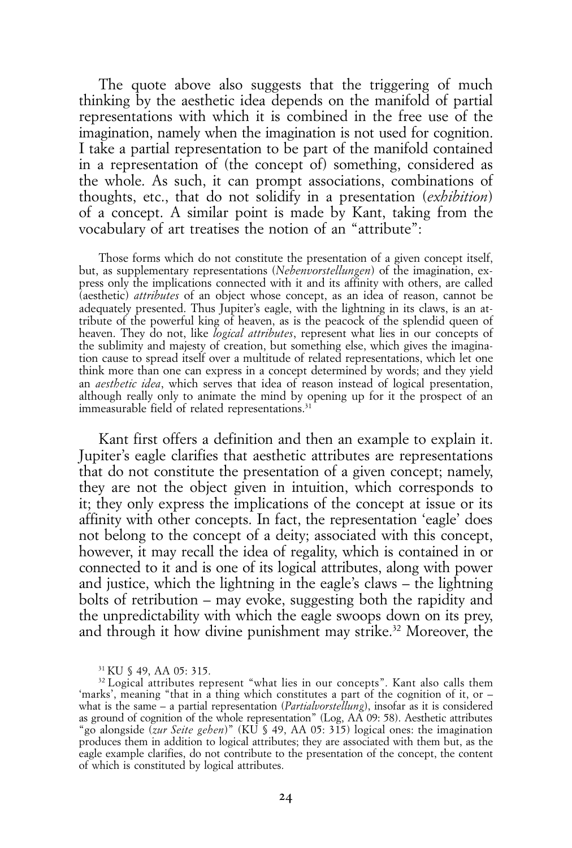The quote above also suggests that the triggering of much thinking by the aesthetic idea depends on the manifold of partial representations with which it is combined in the free use of the imagination, namely when the imagination is not used for cognition. I take a partial representation to be part of the manifold contained in a representation of (the concept of) something, considered as the whole. As such, it can prompt associations, combinations of thoughts, etc., that do not solidify in a presentation (*exhibition*) of a concept. A similar point is made by Kant, taking from the vocabulary of art treatises the notion of an "attribute":

Those forms which do not constitute the presentation of a given concept itself, but, as supplementary representations (*Nebenvorstellungen*) of the imagination, express only the implications connected with it and its affinity with others, are called (aesthetic) *attributes* of an object whose concept, as an idea of reason, cannot be adequately presented. Thus Jupiter's eagle, with the lightning in its claws, is an attribute of the powerful king of heaven, as is the peacock of the splendid queen of heaven. They do not, like *logical attributes*, represent what lies in our concepts of the sublimity and majesty of creation, but something else, which gives the imagination cause to spread itself over a multitude of related representations, which let one think more than one can express in a concept determined by words; and they yield an *aesthetic idea*, which serves that idea of reason instead of logical presentation, although really only to animate the mind by opening up for it the prospect of an immeasurable field of related representations.<sup>31</sup>

Kant first offers a definition and then an example to explain it. Jupiter's eagle clarifies that aesthetic attributes are representations that do not constitute the presentation of a given concept; namely, they are not the object given in intuition, which corresponds to it; they only express the implications of the concept at issue or its affinity with other concepts. In fact, the representation 'eagle' does not belong to the concept of a deity; associated with this concept, however, it may recall the idea of regality, which is contained in or connected to it and is one of its logical attributes, along with power and justice, which the lightning in the eagle's claws – the lightning bolts of retribution – may evoke, suggesting both the rapidity and the unpredictability with which the eagle swoops down on its prey, and through it how divine punishment may strike.<sup>32</sup> Moreover, the

<sup>31</sup> KU § 49, AA 05: 315.

<sup>&</sup>lt;sup>32</sup> Logical attributes represent "what lies in our concepts". Kant also calls them 'marks', meaning "that in a thing which constitutes a part of the cognition of it, or – what is the same – a partial representation (*Partialvorstellung*), insofar as it is considered as ground of cognition of the whole representation" (Log, AA 09: 58). Aesthetic attributes "go alongside (*zur Seite gehen*)" (KU § 49, AA 05: 315) logical ones: the imagination produces them in addition to logical attributes; they are associated with them but, as the eagle example clarifies, do not contribute to the presentation of the concept, the content of which is constituted by logical attributes.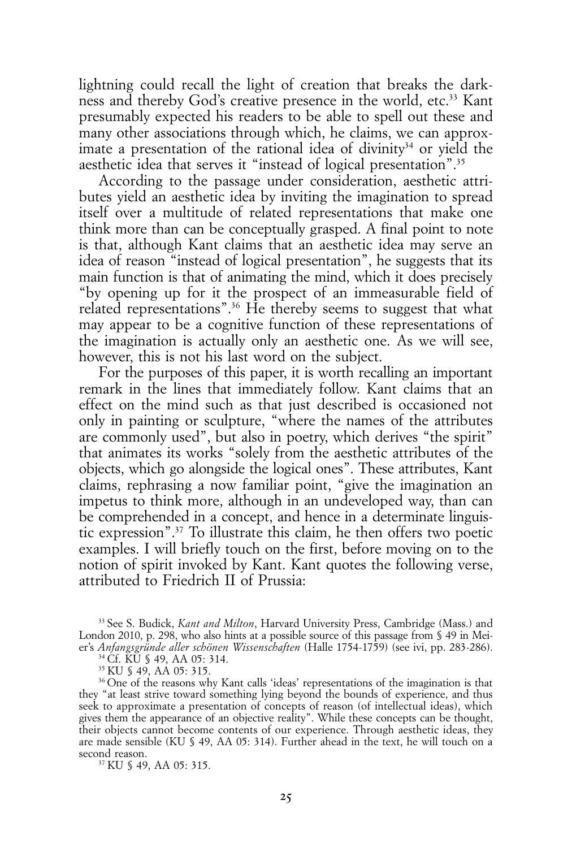lightning could recall the light of creation that breaks the darkness and thereby God's creative presence in the world, etc.<sup>33</sup> Kant presumably expected his readers to be able to spell out these and many other associations through which, he claims, we can approximate a presentation of the rational idea of divinity<sup>34</sup> or yield the aesthetic idea that serves it "instead of logical presentation".<sup>35</sup>

According to the passage under consideration, aesthetic attributes yield an aesthetic idea by inviting the imagination to spread itself over a multitude of related representations that make one think more than can be conceptually grasped. A final point to note is that, although Kant claims that an aesthetic idea may serve an idea of reason "instead of logical presentation", he suggests that its main function is that of animating the mind, which it does precisely "by opening up for it the prospect of an immeasurable field of related representations".36 He thereby seems to suggest that what may appear to be a cognitive function of these representations of the imagination is actually only an aesthetic one. As we will see, however, this is not his last word on the subject.

For the purposes of this paper, it is worth recalling an important remark in the lines that immediately follow. Kant claims that an effect on the mind such as that just described is occasioned not only in painting or sculpture, "where the names of the attributes are commonly used", but also in poetry, which derives "the spirit" that animates its works "solely from the aesthetic attributes of the objects, which go alongside the logical ones". These attributes, Kant claims, rephrasing a now familiar point, "give the imagination an impetus to think more, although in an undeveloped way, than can be comprehended in a concept, and hence in a determinate linguistic expression".37 To illustrate this claim, he then offers two poetic examples. I will briefly touch on the first, before moving on to the notion of spirit invoked by Kant. Kant quotes the following verse, attributed to Friedrich II of Prussia:

33 See S. Budick, *Kant and Milton*, Harvard University Press, Cambridge (Mass.) and London 2010, p. 298, who also hints at a possible source of this passage from  $\S$  49 in Meier's *Anfangsgründe aller schönen Wissenschaften* (Halle 1754-1759) (see ivi, pp. 283-286).

34 Cf. KU § 49, AA 05: 314. 35 KU § 49, AA 05: 315.

36 One of the reasons why Kant calls 'ideas' representations of the imagination is that they "at least strive toward something lying beyond the bounds of experience, and thus seek to approximate a presentation of concepts of reason (of intellectual ideas), which gives them the appearance of an objective reality". While these concepts can be thought, their objects cannot become contents of our experience. Through aesthetic ideas, they are made sensible (KU § 49, AA 05: 314). Further ahead in the text, he will touch on a second reason.

37 KU § 49, AA 05: 315.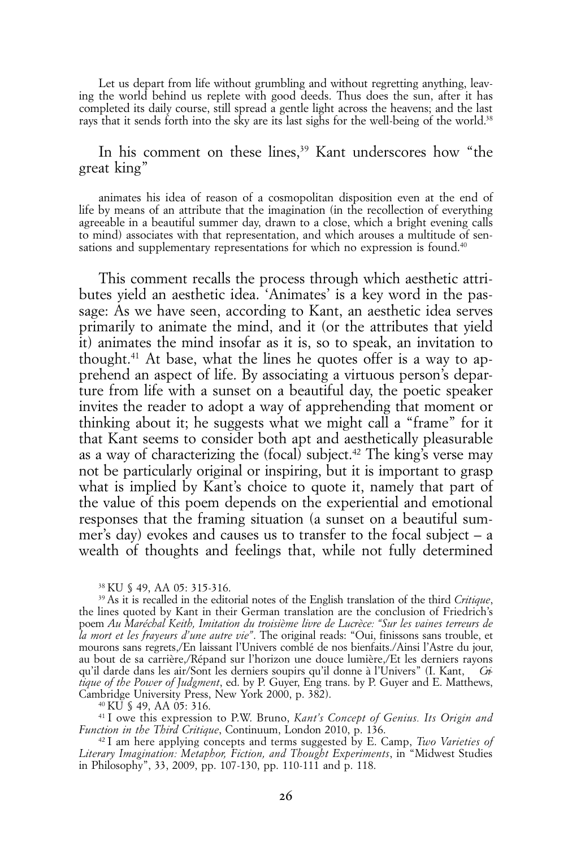Let us depart from life without grumbling and without regretting anything, leaving the world behind us replete with good deeds. Thus does the sun, after it has completed its daily course, still spread a gentle light across the heavens; and the last rays that it sends forth into the sky are its last sighs for the well-being of the world.<sup>38</sup>

# In his comment on these lines,<sup>39</sup> Kant underscores how "the great king"

animates his idea of reason of a cosmopolitan disposition even at the end of life by means of an attribute that the imagination (in the recollection of everything agreeable in a beautiful summer day, drawn to a close, which a bright evening calls to mind) associates with that representation, and which arouses a multitude of sensations and supplementary representations for which no expression is found.<sup>40</sup>

This comment recalls the process through which aesthetic attributes yield an aesthetic idea. 'Animates' is a key word in the passage: As we have seen, according to Kant, an aesthetic idea serves primarily to animate the mind, and it (or the attributes that yield it) animates the mind insofar as it is, so to speak, an invitation to thought.41 At base, what the lines he quotes offer is a way to apprehend an aspect of life. By associating a virtuous person's departure from life with a sunset on a beautiful day, the poetic speaker invites the reader to adopt a way of apprehending that moment or thinking about it; he suggests what we might call a "frame" for it that Kant seems to consider both apt and aesthetically pleasurable as a way of characterizing the  $(focal)$  subject.<sup>42</sup> The king's verse may not be particularly original or inspiring, but it is important to grasp what is implied by Kant's choice to quote it, namely that part of the value of this poem depends on the experiential and emotional responses that the framing situation (a sunset on a beautiful summer's day) evokes and causes us to transfer to the focal subject – a wealth of thoughts and feelings that, while not fully determined

40 KU § 49, AA 05: 316.

41 I owe this expression to P.W. Bruno, *Kant's Concept of Genius. Its Origin and Function in the Third Critique*, Continuum, London 2010, p. 136.

42 I am here applying concepts and terms suggested by E. Camp, *Two Varieties of Literary Imagination: Metaphor, Fiction, and Thought Experiments*, in "Midwest Studies in Philosophy", 33, 2009, pp. 107-130, pp. 110-111 and p. 118.

<sup>38</sup> KU § 49, AA 05: 315-316.

<sup>39</sup> As it is recalled in the editorial notes of the English translation of the third *Critique*, the lines quoted by Kant in their German translation are the conclusion of Friedrich's poem *Au Maréchal Keith, Imitation du troisième livre de Lucrèce: ''Sur les vaines terreurs de la mort et les frayeurs d'une autre vie''*. The original reads: "Oui, finissons sans trouble, et mourons sans regrets,/En laissant l'Univers comblé de nos bienfaits./Ainsi l'Astre du jour, au bout de sa carrière,/Répand sur l'horizon une douce lumière,/Et les derniers rayons qu'il darde dans les air/Sont les derniers soupirs qu'il donne à l'Univers" (I. Kant, *Critique of the Power of Judgment*, ed. by P. Guyer, Eng trans. by P. Guyer and E. Matthews, Cambridge University Press, New York 2000, p. 382).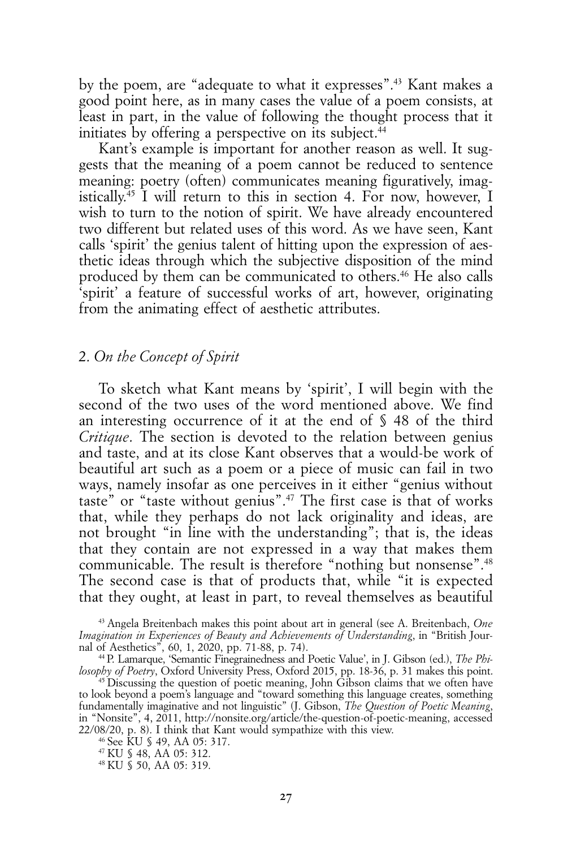by the poem, are "adequate to what it expresses".43 Kant makes a good point here, as in many cases the value of a poem consists, at least in part, in the value of following the thought process that it initiates by offering a perspective on its subject. $44$ 

Kant's example is important for another reason as well. It suggests that the meaning of a poem cannot be reduced to sentence meaning: poetry (often) communicates meaning figuratively, imagistically.45 I will return to this in section 4. For now, however, I wish to turn to the notion of spirit. We have already encountered two different but related uses of this word. As we have seen, Kant calls 'spirit' the genius talent of hitting upon the expression of aesthetic ideas through which the subjective disposition of the mind produced by them can be communicated to others.46 He also calls 'spirit' a feature of successful works of art, however, originating from the animating effect of aesthetic attributes.

# 2. *On the Concept of Spirit*

To sketch what Kant means by 'spirit', I will begin with the second of the two uses of the word mentioned above. We find an interesting occurrence of it at the end of § 48 of the third *Critique*. The section is devoted to the relation between genius and taste, and at its close Kant observes that a would-be work of beautiful art such as a poem or a piece of music can fail in two ways, namely insofar as one perceives in it either "genius without taste" or "taste without genius".47 The first case is that of works that, while they perhaps do not lack originality and ideas, are not brought "in line with the understanding"; that is, the ideas that they contain are not expressed in a way that makes them communicable. The result is therefore "nothing but nonsense".<sup>48</sup> The second case is that of products that, while "it is expected that they ought, at least in part, to reveal themselves as beautiful

43 Angela Breitenbach makes this point about art in general (see A. Breitenbach, *One Imagination in Experiences of Beauty and Achievements of Understanding*, in "British Journal of Aesthetics", 60, 1, 2020, pp. 71-88, p. 74).

44 P. Lamarque, 'Semantic Finegrainedness and Poetic Value', in J. Gibson (ed.), *The Philosophy of Poetry*, Oxford University Press, Oxford 2015, pp. 18-36, p. 31 makes this point.

45 Discussing the question of poetic meaning, John Gibson claims that we often have to look beyond a poem's language and "toward something this language creates, something fundamentally imaginative and not linguistic" (J. Gibson, *The Question of Poetic Meaning*, in "Nonsite", 4, 2011, http://nonsite.org/article/the-question-of-poetic-meaning, accessed 22/08/20, p. 8). I think that Kant would sympathize with this view.

46 See KU § 49, AA 05: 317.

47 KU § 48, AA 05: 312.

48 KU § 50, AA 05: 319.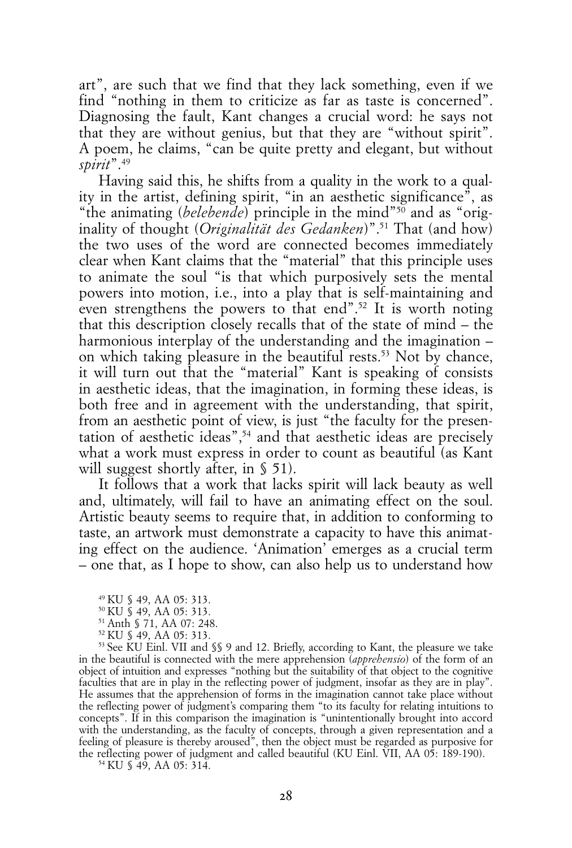art", are such that we find that they lack something, even if we find "nothing in them to criticize as far as taste is concerned". Diagnosing the fault, Kant changes a crucial word: he says not that they are without genius, but that they are "without spirit". A poem, he claims, "can be quite pretty and elegant, but without *spirit*".49

Having said this, he shifts from a quality in the work to a quality in the artist, defining spirit, "in an aesthetic significance", as "the animating (*belebende*) principle in the mind"<sup>50</sup> and as "originality of thought (*Originalität des Gedanken*)".51 That (and how) the two uses of the word are connected becomes immediately clear when Kant claims that the "material" that this principle uses to animate the soul "is that which purposively sets the mental powers into motion, i.e., into a play that is self-maintaining and even strengthens the powers to that end".<sup>52</sup> It is worth noting that this description closely recalls that of the state of mind – the harmonious interplay of the understanding and the imagination – on which taking pleasure in the beautiful rests.<sup>53</sup> Not by chance, it will turn out that the "material" Kant is speaking of consists in aesthetic ideas, that the imagination, in forming these ideas, is both free and in agreement with the understanding, that spirit, from an aesthetic point of view, is just "the faculty for the presentation of aesthetic ideas",54 and that aesthetic ideas are precisely what a work must express in order to count as beautiful (as Kant will suggest shortly after, in § 51).

It follows that a work that lacks spirit will lack beauty as well and, ultimately, will fail to have an animating effect on the soul. Artistic beauty seems to require that, in addition to conforming to taste, an artwork must demonstrate a capacity to have this animating effect on the audience. 'Animation' emerges as a crucial term – one that, as I hope to show, can also help us to understand how

53 See KU Einl. VII and §§ 9 and 12. Briefly, according to Kant, the pleasure we take in the beautiful is connected with the mere apprehension (*apprehensio*) of the form of an object of intuition and expresses "nothing but the suitability of that object to the cognitive faculties that are in play in the reflecting power of judgment, insofar as they are in play". He assumes that the apprehension of forms in the imagination cannot take place without the reflecting power of judgment's comparing them "to its faculty for relating intuitions to concepts". If in this comparison the imagination is "unintentionally brought into accord with the understanding, as the faculty of concepts, through a given representation and a feeling of pleasure is thereby aroused", then the object must be regarded as purposive for the reflecting power of judgment and called beautiful (KU Einl. VII, AA 05: 189-190).

54 KU § 49, AA 05: 314.

<sup>49</sup> KU § 49, AA 05: 313.

<sup>50</sup> KU § 49, AA 05: 313.

<sup>51</sup> Anth § 71, AA 07: 248.

<sup>52</sup> KU § 49, AA 05: 313.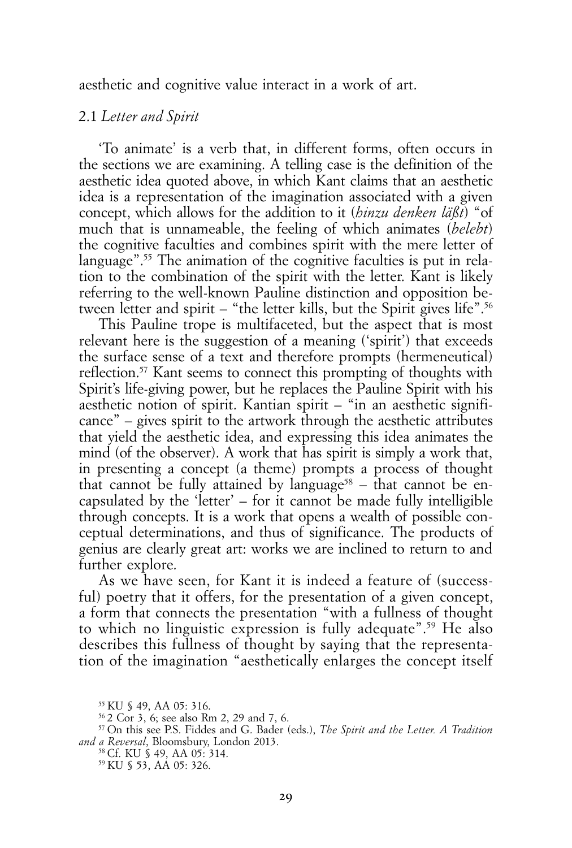aesthetic and cognitive value interact in a work of art.

# 2.1 *Letter and Spirit*

'To animate' is a verb that, in different forms, often occurs in the sections we are examining. A telling case is the definition of the aesthetic idea quoted above, in which Kant claims that an aesthetic idea is a representation of the imagination associated with a given concept, which allows for the addition to it (*hinzu denken läßt*) "of much that is unnameable, the feeling of which animates (*belebt*) the cognitive faculties and combines spirit with the mere letter of language".<sup>55</sup> The animation of the cognitive faculties is put in relation to the combination of the spirit with the letter. Kant is likely referring to the well-known Pauline distinction and opposition between letter and spirit – "the letter kills, but the Spirit gives life".56

This Pauline trope is multifaceted, but the aspect that is most relevant here is the suggestion of a meaning ('spirit') that exceeds the surface sense of a text and therefore prompts (hermeneutical) reflection.57 Kant seems to connect this prompting of thoughts with Spirit's life-giving power, but he replaces the Pauline Spirit with his aesthetic notion of spirit. Kantian spirit – "in an aesthetic significance" – gives spirit to the artwork through the aesthetic attributes that yield the aesthetic idea, and expressing this idea animates the mind (of the observer). A work that has spirit is simply a work that, in presenting a concept (a theme) prompts a process of thought that cannot be fully attained by language<sup>58</sup> – that cannot be encapsulated by the 'letter' – for it cannot be made fully intelligible through concepts. It is a work that opens a wealth of possible conceptual determinations, and thus of significance. The products of genius are clearly great art: works we are inclined to return to and further explore.

As we have seen, for Kant it is indeed a feature of (successful) poetry that it offers, for the presentation of a given concept, a form that connects the presentation "with a fullness of thought to which no linguistic expression is fully adequate".59 He also describes this fullness of thought by saying that the representation of the imagination "aesthetically enlarges the concept itself

<sup>55</sup> KU § 49, AA 05: 316.

<sup>56 2</sup> Cor 3, 6; see also Rm 2, 29 and 7, 6.

<sup>57</sup> On this see P.S. Fiddes and G. Bader (eds.), *The Spirit and the Letter. A Tradition and a Reversal*, Bloomsbury, London 2013.

<sup>58</sup> Cf. KU § 49, AA 05: 314. 59 KU § 53, AA 05: 326.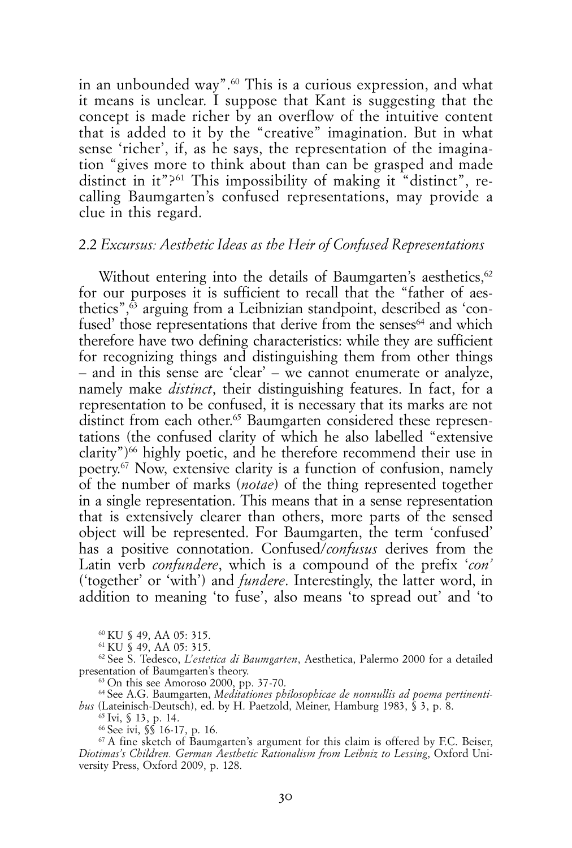in an unbounded way".<sup>60</sup> This is a curious expression, and what it means is unclear. I suppose that Kant is suggesting that the concept is made richer by an overflow of the intuitive content that is added to it by the "creative" imagination. But in what sense 'richer', if, as he says, the representation of the imagination "gives more to think about than can be grasped and made distinct in it"?<sup>61</sup> This impossibility of making it "distinct", recalling Baumgarten's confused representations, may provide a clue in this regard.

# 2.2 *Excursus: Aesthetic Ideas as the Heir of Confused Representations*

Without entering into the details of Baumgarten's aesthetics.<sup>62</sup> for our purposes it is sufficient to recall that the "father of aesthetics", $\overline{6}$  arguing from a Leibnizian standpoint, described as 'confused' those representations that derive from the senses<sup>64</sup> and which therefore have two defining characteristics: while they are sufficient for recognizing things and distinguishing them from other things – and in this sense are 'clear' – we cannot enumerate or analyze, namely make *distinct*, their distinguishing features. In fact, for a representation to be confused, it is necessary that its marks are not distinct from each other.<sup>65</sup> Baumgarten considered these representations (the confused clarity of which he also labelled "extensive clarity") $66$  highly poetic, and he therefore recommend their use in poetry.<sup>67</sup> Now, extensive clarity is a function of confusion, namely of the number of marks (*notae*) of the thing represented together in a single representation. This means that in a sense representation that is extensively clearer than others, more parts of the sensed object will be represented. For Baumgarten, the term 'confused' has a positive connotation. Confused/*confusus* derives from the Latin verb *confundere*, which is a compound of the prefix '*con'* ('together' or 'with') and *fundere*. Interestingly, the latter word, in addition to meaning 'to fuse', also means 'to spread out' and 'to

60 KU § 49, AA 05: 315.

61 KU § 49, AA 05: 315.

62 See S. Tedesco, *L'estetica di Baumgarten*, Aesthetica, Palermo 2000 for a detailed presentation of Baumgarten's theory.

63 On this see Amoroso 2000, pp. 37-70.

64 See A.G. Baumgarten, *Meditationes philosophicae de nonnullis ad poema pertinentibus* (Lateinisch-Deutsch), ed. by H. Paetzold, Meiner, Hamburg 1983, § 3, p. 8.

 $^{65}$  Ivi, § 13, p. 14.<br><sup>66</sup> See ivi, §§ 16-17, p. 16.

 $67$  A fine sketch of Baumgarten's argument for this claim is offered by F.C. Beiser, *Diotimas's Children. German Aesthetic Rationalism from Leibniz to Lessing*, Oxford University Press, Oxford 2009, p. 128.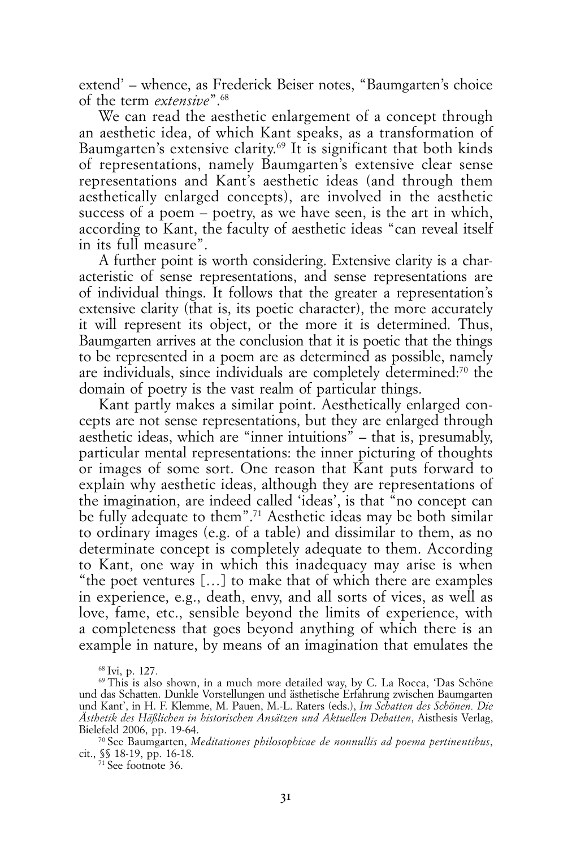extend' – whence, as Frederick Beiser notes, "Baumgarten's choice of the term *extensive*".68

We can read the aesthetic enlargement of a concept through an aesthetic idea, of which Kant speaks, as a transformation of Baumgarten's extensive clarity.<sup>69</sup> It is significant that both kinds of representations, namely Baumgarten's extensive clear sense representations and Kant's aesthetic ideas (and through them aesthetically enlarged concepts), are involved in the aesthetic success of a poem – poetry, as we have seen, is the art in which, according to Kant, the faculty of aesthetic ideas "can reveal itself in its full measure".

A further point is worth considering. Extensive clarity is a characteristic of sense representations, and sense representations are of individual things. It follows that the greater a representation's extensive clarity (that is, its poetic character), the more accurately it will represent its object, or the more it is determined. Thus, Baumgarten arrives at the conclusion that it is poetic that the things to be represented in a poem are as determined as possible, namely are individuals, since individuals are completely determined:70 the domain of poetry is the vast realm of particular things.

Kant partly makes a similar point. Aesthetically enlarged concepts are not sense representations, but they are enlarged through aesthetic ideas, which are "inner intuitions" – that is, presumably, particular mental representations: the inner picturing of thoughts or images of some sort. One reason that Kant puts forward to explain why aesthetic ideas, although they are representations of the imagination, are indeed called 'ideas', is that "no concept can be fully adequate to them".71 Aesthetic ideas may be both similar to ordinary images (e.g. of a table) and dissimilar to them, as no determinate concept is completely adequate to them. According to Kant, one way in which this inadequacy may arise is when "the poet ventures […] to make that of which there are examples in experience, e.g., death, envy, and all sorts of vices, as well as love, fame, etc., sensible beyond the limits of experience, with a completeness that goes beyond anything of which there is an example in nature, by means of an imagination that emulates the

71 See footnote 36.

<sup>68</sup> Ivi, p. 127.

<sup>69</sup> This is also shown, in a much more detailed way, by C. La Rocca, 'Das Schöne und das Schatten. Dunkle Vorstellungen und ästhetische Erfahrung zwischen Baumgarten und Kant', in H. F. Klemme, M. Pauen, M.-L. Raters (eds.), *Im Schatten des Schönen. Die Ästhetik des Häßlichen in historischen Ansätzen und Aktuellen Debatten*, Aisthesis Verlag, Bielefeld 2006, pp. 19-64.

<sup>70</sup> See Baumgarten, *Meditationes philosophicae de nonnullis ad poema pertinentibus*, cit., §§ 18-19, pp. 16-18.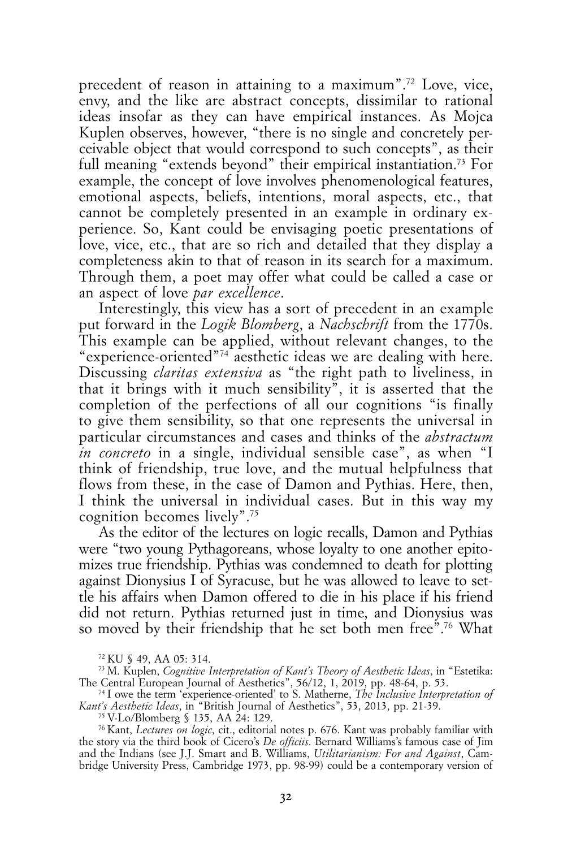precedent of reason in attaining to a maximum".72 Love, vice, envy, and the like are abstract concepts, dissimilar to rational ideas insofar as they can have empirical instances. As Mojca Kuplen observes, however, "there is no single and concretely perceivable object that would correspond to such concepts", as their full meaning "extends beyond" their empirical instantiation.73 For example, the concept of love involves phenomenological features, emotional aspects, beliefs, intentions, moral aspects, etc., that cannot be completely presented in an example in ordinary experience. So, Kant could be envisaging poetic presentations of love, vice, etc., that are so rich and detailed that they display a completeness akin to that of reason in its search for a maximum. Through them, a poet may offer what could be called a case or an aspect of love *par excellence*.

Interestingly, this view has a sort of precedent in an example put forward in the *Logik Blomberg*, a *Nachschrift* from the 1770s. This example can be applied, without relevant changes, to the "experience-oriented"74 aesthetic ideas we are dealing with here. Discussing *claritas extensiva* as "the right path to liveliness, in that it brings with it much sensibility", it is asserted that the completion of the perfections of all our cognitions "is finally to give them sensibility, so that one represents the universal in particular circumstances and cases and thinks of the *abstractum in concreto* in a single, individual sensible case", as when "I think of friendship, true love, and the mutual helpfulness that flows from these, in the case of Damon and Pythias. Here, then, I think the universal in individual cases. But in this way my cognition becomes lively".75

As the editor of the lectures on logic recalls, Damon and Pythias were "two young Pythagoreans, whose loyalty to one another epitomizes true friendship. Pythias was condemned to death for plotting against Dionysius I of Syracuse, but he was allowed to leave to settle his affairs when Damon offered to die in his place if his friend did not return. Pythias returned just in time, and Dionysius was so moved by their friendship that he set both men free".<sup>76</sup> What

76 Kant, *Lectures on logic*, cit., editorial notes p. 676. Kant was probably familiar with the story via the third book of Cicero's *De officiis*. Bernard Williams's famous case of Jim and the Indians (see J.J. Smart and B. Williams, *Utilitarianism: For and Against*, Cambridge University Press, Cambridge 1973, pp. 98-99) could be a contemporary version of

<sup>72</sup> KU § 49, AA 05: 314.

<sup>73</sup> M. Kuplen, *Cognitive Interpretation of Kant's Theory of Aesthetic Ideas*, in "Estetika: The Central European Journal of Aesthetics", 56/12, 1, 2019, pp. 48-64, p. 53.

<sup>74</sup> I owe the term 'experience-oriented' to S. Matherne, *The Inclusive Interpretation of Kant's Aesthetic Ideas*, in "British Journal of Aesthetics", 53, 2013, pp. 21-39.

<sup>75</sup> V-Lo/Blomberg § 135, AA 24: 129.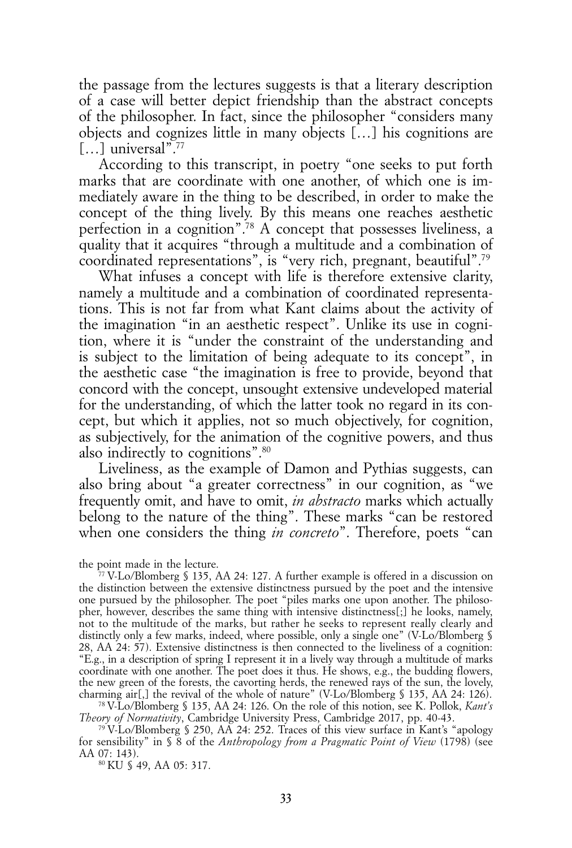the passage from the lectures suggests is that a literary description of a case will better depict friendship than the abstract concepts of the philosopher. In fact, since the philosopher "considers many objects and cognizes little in many objects […] his cognitions are [...] universal<sup>"77</sup>

According to this transcript, in poetry "one seeks to put forth marks that are coordinate with one another, of which one is immediately aware in the thing to be described, in order to make the concept of the thing lively. By this means one reaches aesthetic perfection in a cognition".78 A concept that possesses liveliness, a quality that it acquires "through a multitude and a combination of coordinated representations", is "very rich, pregnant, beautiful".79

What infuses a concept with life is therefore extensive clarity, namely a multitude and a combination of coordinated representations. This is not far from what Kant claims about the activity of the imagination "in an aesthetic respect". Unlike its use in cognition, where it is "under the constraint of the understanding and is subject to the limitation of being adequate to its concept", in the aesthetic case "the imagination is free to provide, beyond that concord with the concept, unsought extensive undeveloped material for the understanding, of which the latter took no regard in its concept, but which it applies, not so much objectively, for cognition, as subjectively, for the animation of the cognitive powers, and thus also indirectly to cognitions".80

Liveliness, as the example of Damon and Pythias suggests, can also bring about "a greater correctness" in our cognition, as "we frequently omit, and have to omit, *in abstracto* marks which actually belong to the nature of the thing". These marks "can be restored when one considers the thing *in concreto*". Therefore, poets "can

the point made in the lecture.

78 V-Lo/Blomberg § 135, AA 24: 126. On the role of this notion, see K. Pollok, *Kant's Theory of Normativity*, Cambridge University Press, Cambridge 2017, pp. 40-43.

79 V-Lo/Blomberg § 250, AA 24: 252. Traces of this view surface in Kant's "apology for sensibility" in § 8 of the *Anthropology from a Pragmatic Point of View* (1798) (see AA 07: 143).<br><sup>80</sup> KU § 49, AA 05: 317.

<sup>77</sup> V-Lo/Blomberg § 135, AA 24: 127. A further example is offered in a discussion on the distinction between the extensive distinctness pursued by the poet and the intensive one pursued by the philosopher. The poet "piles marks one upon another. The philosopher, however, describes the same thing with intensive distinctness[;] he looks, namely, not to the multitude of the marks, but rather he seeks to represent really clearly and distinctly only a few marks, indeed, where possible, only a single one" (V-Lo/Blomberg § 28, AA 24: 57). Extensive distinctness is then connected to the liveliness of a cognition: "E.g., in a description of spring I represent it in a lively way through a multitude of marks coordinate with one another. The poet does it thus. He shows, e.g., the budding flowers, the new green of the forests, the cavorting herds, the renewed rays of the sun, the lovely, charming air[,] the revival of the whole of nature" (V-Lo/Blomberg § 135, AA 24: 126).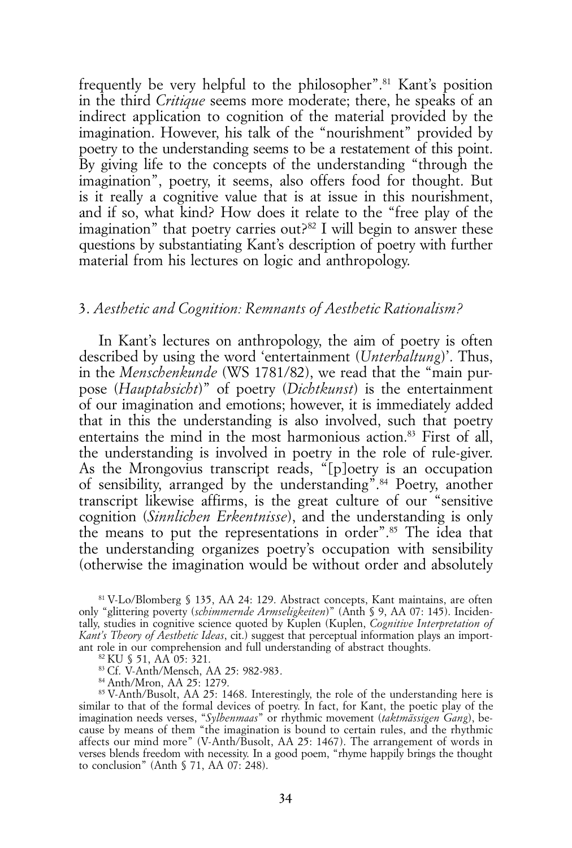frequently be very helpful to the philosopher".81 Kant's position in the third *Critique* seems more moderate; there, he speaks of an indirect application to cognition of the material provided by the imagination. However, his talk of the "nourishment" provided by poetry to the understanding seems to be a restatement of this point. By giving life to the concepts of the understanding "through the imagination", poetry, it seems, also offers food for thought. But is it really a cognitive value that is at issue in this nourishment, and if so, what kind? How does it relate to the "free play of the imagination" that poetry carries out? $82$  I will begin to answer these questions by substantiating Kant's description of poetry with further material from his lectures on logic and anthropology.

#### 3. *Aesthetic and Cognition: Remnants of Aesthetic Rationalism?*

In Kant's lectures on anthropology, the aim of poetry is often described by using the word 'entertainment (*Unterhaltung*)'. Thus, in the *Menschenkunde* (WS 1781/82), we read that the "main purpose (*Hauptabsicht*)" of poetry (*Dichtkunst*) is the entertainment of our imagination and emotions; however, it is immediately added that in this the understanding is also involved, such that poetry entertains the mind in the most harmonious action.83 First of all, the understanding is involved in poetry in the role of rule-giver. As the Mrongovius transcript reads, "[p]oetry is an occupation of sensibility, arranged by the understanding".84 Poetry, another transcript likewise affirms, is the great culture of our "sensitive cognition (*Sinnlichen Erkentnisse*), and the understanding is only the means to put the representations in order".85 The idea that the understanding organizes poetry's occupation with sensibility (otherwise the imagination would be without order and absolutely

83 Cf. V-Anth/Mensch, AA 25: 982-983.

84 Anth/Mron, AA 25: 1279.

85 V-Anth/Busolt, AA 25: 1468. Interestingly, the role of the understanding here is similar to that of the formal devices of poetry. In fact, for Kant, the poetic play of the imagination needs verses, "*Sylbenmaas*" or rhythmic movement (*taktmässigen Gang*), because by means of them "the imagination is bound to certain rules, and the rhythmic affects our mind more" (V-Anth/Busolt, AA 25: 1467). The arrangement of words in verses blends freedom with necessity. In a good poem, "rhyme happily brings the thought to conclusion" (Anth § 71, AA 07: 248).

<sup>81</sup> V-Lo/Blomberg § 135, AA 24: 129. Abstract concepts, Kant maintains, are often only "glittering poverty (*schimmernde Armseligkeiten*)" (Anth § 9, AA 07: 145). Incidentally, studies in cognitive science quoted by Kuplen (Kuplen, *Cognitive Interpretation of Kant's Theory of Aesthetic Ideas*, cit.) suggest that perceptual information plays an important role in our comprehension and full understanding of abstract thoughts.

<sup>82</sup> KU § 51, AA 05: 321.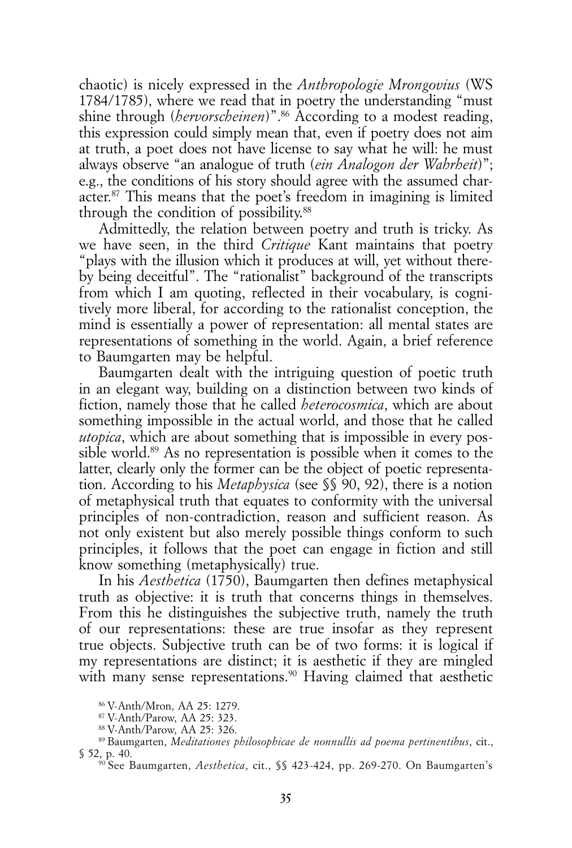chaotic) is nicely expressed in the *Anthropologie Mrongovius* (WS 1784/1785), where we read that in poetry the understanding "must shine through (*hervorscheinen*)".<sup>86</sup> According to a modest reading, this expression could simply mean that, even if poetry does not aim at truth, a poet does not have license to say what he will: he must always observe "an analogue of truth (*ein Analogon der Wahrheit*)"; e.g., the conditions of his story should agree with the assumed character.87 This means that the poet's freedom in imagining is limited through the condition of possibility.88

Admittedly, the relation between poetry and truth is tricky. As we have seen, in the third *Critique* Kant maintains that poetry "plays with the illusion which it produces at will, yet without thereby being deceitful". The "rationalist" background of the transcripts from which I am quoting, reflected in their vocabulary, is cognitively more liberal, for according to the rationalist conception, the mind is essentially a power of representation: all mental states are representations of something in the world. Again, a brief reference to Baumgarten may be helpful.

Baumgarten dealt with the intriguing question of poetic truth in an elegant way, building on a distinction between two kinds of fiction, namely those that he called *heterocosmica*, which are about something impossible in the actual world, and those that he called *utopica*, which are about something that is impossible in every possible world.<sup>89</sup> As no representation is possible when it comes to the latter, clearly only the former can be the object of poetic representation. According to his *Metaphysica* (see §§ 90, 92), there is a notion of metaphysical truth that equates to conformity with the universal principles of non-contradiction, reason and sufficient reason. As not only existent but also merely possible things conform to such principles, it follows that the poet can engage in fiction and still know something (metaphysically) true.

In his *Aesthetica* (1750), Baumgarten then defines metaphysical truth as objective: it is truth that concerns things in themselves. From this he distinguishes the subjective truth, namely the truth of our representations: these are true insofar as they represent true objects. Subjective truth can be of two forms: it is logical if my representations are distinct; it is aesthetic if they are mingled with many sense representations.<sup>90</sup> Having claimed that aesthetic

<sup>86</sup> V-Anth/Mron, AA 25: 1279.

<sup>87</sup> V-Anth/Parow, AA 25: 323.

<sup>88</sup> V-Anth/Parow, AA 25: 326.

<sup>89</sup> Baumgarten, *Meditationes philosophicae de nonnullis ad poema pertinentibus*, cit., § 52, p. 40.

<sup>90</sup> See Baumgarten, *Aesthetica*, cit., §§ 423-424, pp. 269-270. On Baumgarten's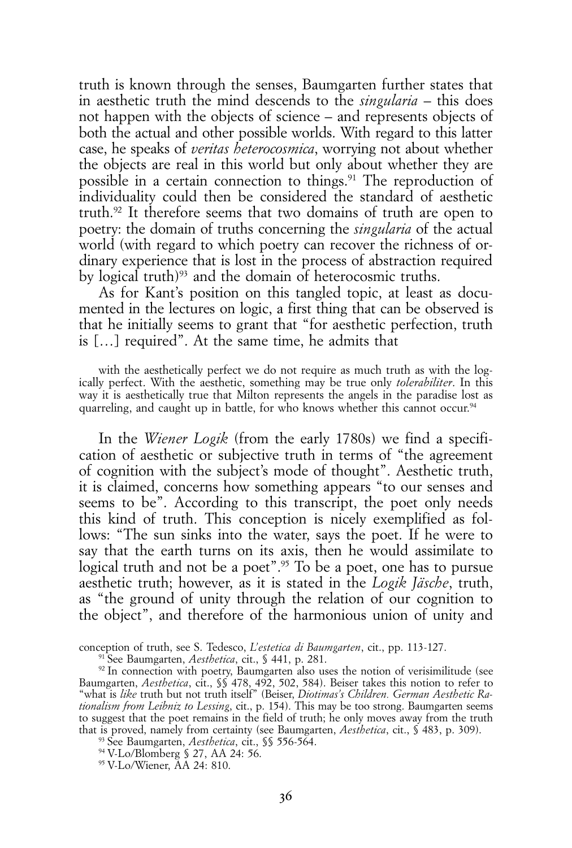truth is known through the senses, Baumgarten further states that in aesthetic truth the mind descends to the *singularia* – this does not happen with the objects of science – and represents objects of both the actual and other possible worlds. With regard to this latter case, he speaks of *veritas heterocosmica*, worrying not about whether the objects are real in this world but only about whether they are possible in a certain connection to things.<sup>91</sup> The reproduction of individuality could then be considered the standard of aesthetic truth.92 It therefore seems that two domains of truth are open to poetry: the domain of truths concerning the *singularia* of the actual world (with regard to which poetry can recover the richness of ordinary experience that is lost in the process of abstraction required by logical truth)<sup>93</sup> and the domain of heterocosmic truths.

As for Kant's position on this tangled topic, at least as documented in the lectures on logic, a first thing that can be observed is that he initially seems to grant that "for aesthetic perfection, truth is […] required". At the same time, he admits that

with the aesthetically perfect we do not require as much truth as with the logically perfect. With the aesthetic, something may be true only *tolerabiliter*. In this way it is aesthetically true that Milton represents the angels in the paradise lost as quarreling, and caught up in battle, for who knows whether this cannot occur.<sup>94</sup>

In the *Wiener Logik* (from the early 1780s) we find a specification of aesthetic or subjective truth in terms of "the agreement of cognition with the subject's mode of thought". Aesthetic truth, it is claimed, concerns how something appears "to our senses and seems to be". According to this transcript, the poet only needs this kind of truth. This conception is nicely exemplified as follows: "The sun sinks into the water, says the poet. If he were to say that the earth turns on its axis, then he would assimilate to logical truth and not be a poet".<sup>95</sup> To be a poet, one has to pursue aesthetic truth; however, as it is stated in the *Logik Jäsche*, truth, as "the ground of unity through the relation of our cognition to the object", and therefore of the harmonious union of unity and

conception of truth, see S. Tedesco, *L'estetica di Baumgarten*, cit., pp. 113-127.

91 See Baumgarten, *Aesthetica*, cit., § 441, p. 281.

<sup>92</sup> In connection with poetry, Baumgarten also uses the notion of verisimilitude (see Baumgarten, *Aesthetica*, cit., §§ 478, 492, 502, 584). Beiser takes this notion to refer to "what is *like* truth but not truth itself" (Beiser, *Diotimas's Children. German Aesthetic Rationalism from Leibniz to Lessing*, cit., p. 154). This may be too strong. Baumgarten seems to suggest that the poet remains in the field of truth; he only moves away from the truth that is proved, namely from certainty (see Baumgarten, *Aesthetica*, cit., § 483, p. 309).

93 See Baumgarten, *Aesthetica*, cit., §§ 556-564.

95 V-Lo/Wiener, AA 24: 810.

<sup>94</sup> V-Lo/Blomberg § 27, AA 24: 56.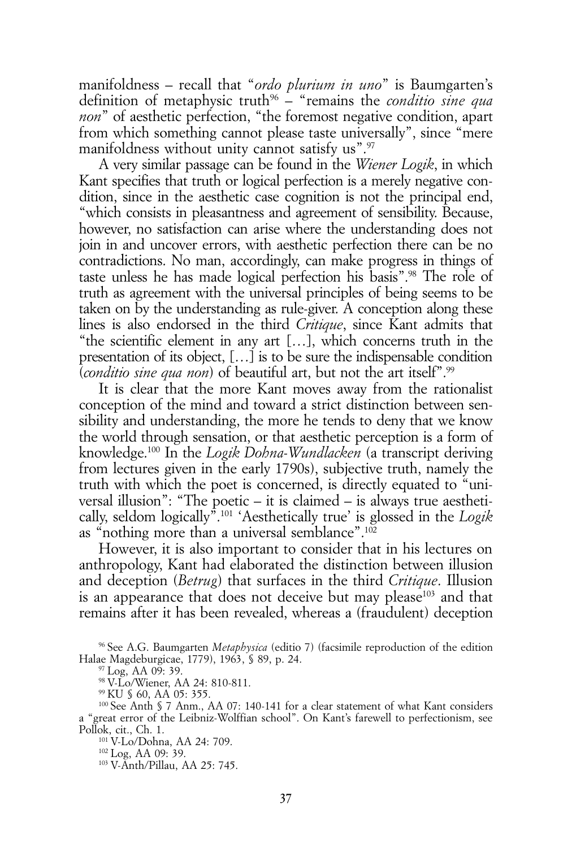manifoldness – recall that "*ordo plurium in uno*" is Baumgarten's definition of metaphysic truth<sup>96</sup> – "remains the *conditio sine qua non*" of aesthetic perfection, "the foremost negative condition, apart from which something cannot please taste universally", since "mere manifoldness without unity cannot satisfy us".<sup>97</sup>

A very similar passage can be found in the *Wiener Logik*, in which Kant specifies that truth or logical perfection is a merely negative condition, since in the aesthetic case cognition is not the principal end, "which consists in pleasantness and agreement of sensibility. Because, however, no satisfaction can arise where the understanding does not join in and uncover errors, with aesthetic perfection there can be no contradictions. No man, accordingly, can make progress in things of taste unless he has made logical perfection his basis".98 The role of truth as agreement with the universal principles of being seems to be taken on by the understanding as rule-giver. A conception along these lines is also endorsed in the third *Critique*, since Kant admits that "the scientific element in any art […], which concerns truth in the presentation of its object, […] is to be sure the indispensable condition (*conditio sine qua non*) of beautiful art, but not the art itself".99

It is clear that the more Kant moves away from the rationalist conception of the mind and toward a strict distinction between sensibility and understanding, the more he tends to deny that we know the world through sensation, or that aesthetic perception is a form of knowledge.100 In the *Logik Dohna-Wundlacken* (a transcript deriving from lectures given in the early 1790s), subjective truth, namely the truth with which the poet is concerned, is directly equated to "universal illusion": "The poetic – it is claimed – is always true aesthetically, seldom logically".101 'Aesthetically true' is glossed in the *Logik*  as "nothing more than a universal semblance".102

However, it is also important to consider that in his lectures on anthropology, Kant had elaborated the distinction between illusion and deception (*Betrug*) that surfaces in the third *Critique*. Illusion is an appearance that does not deceive but may please<sup>103</sup> and that remains after it has been revealed, whereas a (fraudulent) deception

96 See A.G. Baumgarten *Metaphysica* (editio 7) (facsimile reproduction of the edition Halae Magdeburgicae, 1779), 1963, § 89, p. 24.

97 Log, AA 09: 39.

98 V-Lo/Wiener, AA 24: 810-811.

99 KU § 60, AA 05: 355.

100 See Anth § 7 Anm., AA 07: 140-141 for a clear statement of what Kant considers a "great error of the Leibniz-Wolffian school". On Kant's farewell to perfectionism, see Pollok, cit., Ch. 1.

101 V-Lo/Dohna, AA 24: 709.

102 Log, AA 09: 39.

103 V-Anth/Pillau, AA 25: 745.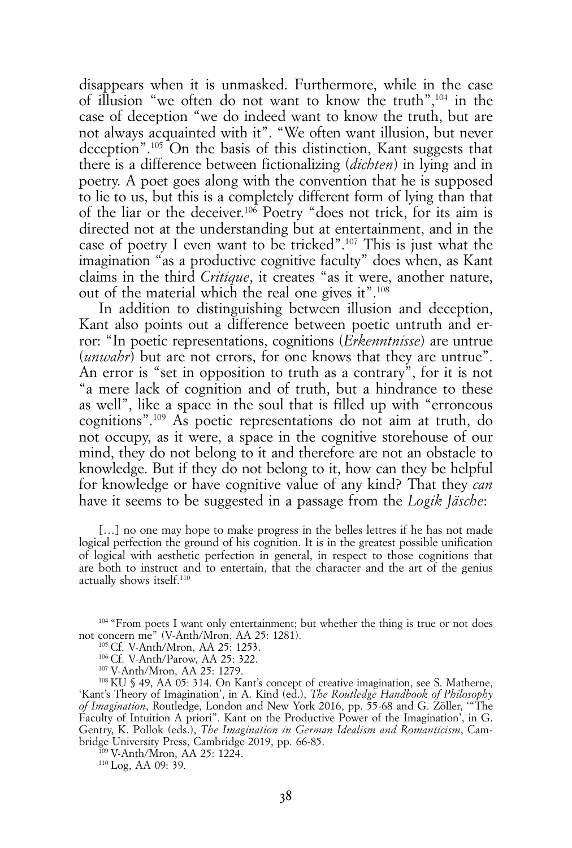disappears when it is unmasked. Furthermore, while in the case of illusion "we often do not want to know the truth",104 in the case of deception "we do indeed want to know the truth, but are not always acquainted with it". "We often want illusion, but never deception".105 On the basis of this distinction, Kant suggests that there is a difference between fictionalizing (*dichten*) in lying and in poetry. A poet goes along with the convention that he is supposed to lie to us, but this is a completely different form of lying than that of the liar or the deceiver.106 Poetry "does not trick, for its aim is directed not at the understanding but at entertainment, and in the case of poetry I even want to be tricked".107 This is just what the imagination "as a productive cognitive faculty" does when, as Kant claims in the third *Critique*, it creates "as it were, another nature, out of the material which the real one gives it".108

In addition to distinguishing between illusion and deception, Kant also points out a difference between poetic untruth and error: "In poetic representations, cognitions (*Erkenntnisse*) are untrue (*unwahr*) but are not errors, for one knows that they are untrue". An error is "set in opposition to truth as a contrary", for it is not "a mere lack of cognition and of truth, but a hindrance to these as well", like a space in the soul that is filled up with "erroneous cognitions".109 As poetic representations do not aim at truth, do not occupy, as it were, a space in the cognitive storehouse of our mind, they do not belong to it and therefore are not an obstacle to knowledge. But if they do not belong to it, how can they be helpful for knowledge or have cognitive value of any kind? That they *can* have it seems to be suggested in a passage from the *Logik Jäsche*:

[...] no one may hope to make progress in the belles lettres if he has not made logical perfection the ground of his cognition. It is in the greatest possible unification of logical with aesthetic perfection in general, in respect to those cognitions that are both to instruct and to entertain, that the character and the art of the genius actually shows itself.110

<sup>104</sup> "From poets I want only entertainment; but whether the thing is true or not does not concern me" (V-Anth/Mron, AA 25: 1281).

105 Cf. V-Anth/Mron, AA 25: 1253.

106 Cf. V-Anth/Parow, AA 25: 322.

107 V-Anth/Mron, AA 25: 1279.

108 KU § 49, AA 05: 314. On Kant's concept of creative imagination, see S. Matherne, 'Kant's Theory of Imagination', in A. Kind (ed.), *The Routledge Handbook of Philosophy of Imagination*, Routledge, London and New York 2016, pp. 55-68 and G. Zöller, '"The Faculty of Intuition A priori". Kant on the Productive Power of the Imagination', in G. Gentry, K. Pollok (eds.), *The Imagination in German Idealism and Romanticism*, Cambridge University Press, Cambridge 2019, pp. 66-85.

109 V-Anth/Mron, AA 25: 1224.

110 Log, AA 09: 39.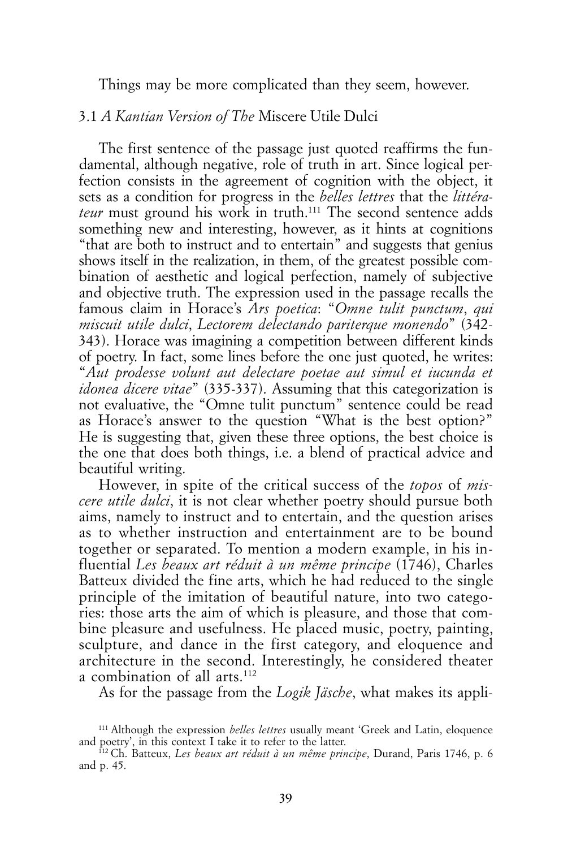Things may be more complicated than they seem, however.

#### 3.1 *A Kantian Version of The* Miscere Utile Dulci

The first sentence of the passage just quoted reaffirms the fundamental, although negative, role of truth in art. Since logical perfection consists in the agreement of cognition with the object, it sets as a condition for progress in the *belles lettres* that the *littérateur* must ground his work in truth.<sup>111</sup> The second sentence adds something new and interesting, however, as it hints at cognitions "that are both to instruct and to entertain" and suggests that genius shows itself in the realization, in them, of the greatest possible combination of aesthetic and logical perfection, namely of subjective and objective truth. The expression used in the passage recalls the famous claim in Horace's *Ars poetica*: "*Omne tulit punctum*, *qui miscuit utile dulci*, *Lectorem delectando pariterque monendo*" (342- 343). Horace was imagining a competition between different kinds of poetry. In fact, some lines before the one just quoted, he writes: "*Aut prodesse volunt aut delectare poetae aut simul et iucunda et idonea dicere vitae*" (335-337). Assuming that this categorization is not evaluative, the "Omne tulit punctum" sentence could be read as Horace's answer to the question "What is the best option?" He is suggesting that, given these three options, the best choice is the one that does both things, i.e. a blend of practical advice and beautiful writing.

However, in spite of the critical success of the *topos* of *miscere utile dulci*, it is not clear whether poetry should pursue both aims, namely to instruct and to entertain, and the question arises as to whether instruction and entertainment are to be bound together or separated. To mention a modern example, in his influential *Les beaux art réduit à un même principe* (1746), Charles Batteux divided the fine arts, which he had reduced to the single principle of the imitation of beautiful nature, into two categories: those arts the aim of which is pleasure, and those that combine pleasure and usefulness. He placed music, poetry, painting, sculpture, and dance in the first category, and eloquence and architecture in the second. Interestingly, he considered theater a combination of all arts.<sup>112</sup>

As for the passage from the *Logik Jäsche*, what makes its appli-

<sup>111</sup> Although the expression *belles lettres* usually meant 'Greek and Latin, eloquence and poetry', in this context I take it to refer to the latter.

<sup>112</sup> Ch. Batteux, *Les beaux art réduit à un même principe*, Durand, Paris 1746, p. 6 and p. 45.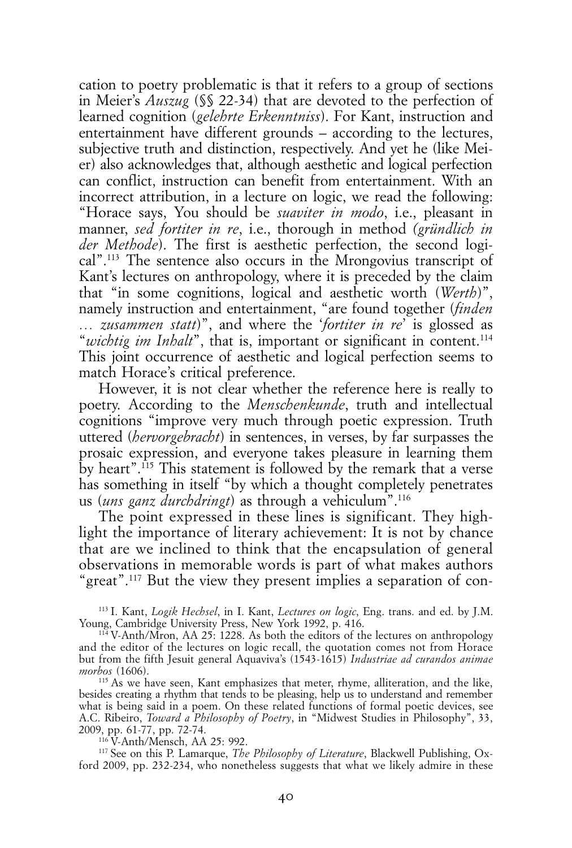cation to poetry problematic is that it refers to a group of sections in Meier's *Auszug* (§§ 22-34) that are devoted to the perfection of learned cognition (*gelehrte Erkenntniss*). For Kant, instruction and entertainment have different grounds – according to the lectures, subjective truth and distinction, respectively. And yet he (like Meier) also acknowledges that, although aesthetic and logical perfection can conflict, instruction can benefit from entertainment. With an incorrect attribution, in a lecture on logic, we read the following: "Horace says, You should be *suaviter in modo*, i.e., pleasant in manner, *sed fortiter in re*, i.e., thorough in method *(gründlich in der Methode*). The first is aesthetic perfection, the second logical".113 The sentence also occurs in the Mrongovius transcript of Kant's lectures on anthropology, where it is preceded by the claim that "in some cognitions, logical and aesthetic worth (*Werth*)", namely instruction and entertainment, "are found together (*finden … zusammen statt*)", and where the '*fortiter in re*' is glossed as "*wichtig im Inhalt*", that is, important or significant in content.<sup>114</sup> This joint occurrence of aesthetic and logical perfection seems to match Horace's critical preference.

However, it is not clear whether the reference here is really to poetry. According to the *Menschenkunde*, truth and intellectual cognitions "improve very much through poetic expression. Truth uttered (*hervorgebracht*) in sentences, in verses, by far surpasses the prosaic expression, and everyone takes pleasure in learning them by heart".<sup> $115$ </sup> This statement is followed by the remark that a verse has something in itself "by which a thought completely penetrates us (*uns ganz durchdringt*) as through a vehiculum".116

The point expressed in these lines is significant. They highlight the importance of literary achievement: It is not by chance that are we inclined to think that the encapsulation of general observations in memorable words is part of what makes authors "great".117 But the view they present implies a separation of con-

113 I. Kant, *Logik Hechsel*, in I. Kant, *Lectures on logic*, Eng. trans. and ed. by J.M. Young, Cambridge University Press, New York 1992, p. 416.

115 As we have seen, Kant emphasizes that meter, rhyme, alliteration, and the like, besides creating a rhythm that tends to be pleasing, help us to understand and remember what is being said in a poem. On these related functions of formal poetic devices, see A.C. Ribeiro, *Toward a Philosophy of Poetry*, in "Midwest Studies in Philosophy", 33, 2009, pp. 61-77, pp. 72-74.

116 V-Anth/Mensch, AA 25: 992.

117 See on this P. Lamarque, *The Philosophy of Literature*, Blackwell Publishing, Oxford 2009, pp. 232-234, who nonetheless suggests that what we likely admire in these

<sup>114</sup> V-Anth/Mron, AA 25: 1228. As both the editors of the lectures on anthropology and the editor of the lectures on logic recall, the quotation comes not from Horace but from the fifth Jesuit general Aquaviva's (1543-1615) *Industriae ad curandos animae morbos* (1606).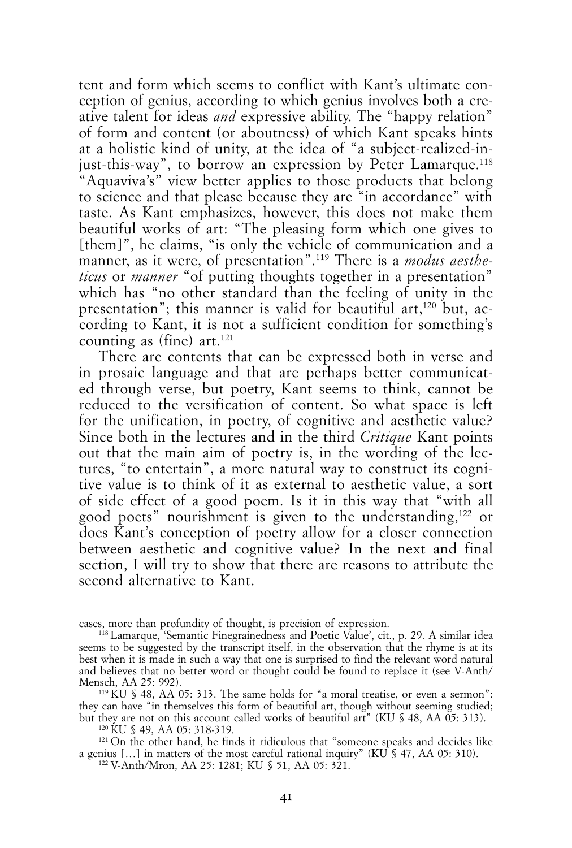tent and form which seems to conflict with Kant's ultimate conception of genius, according to which genius involves both a creative talent for ideas *and* expressive ability. The "happy relation" of form and content (or aboutness) of which Kant speaks hints at a holistic kind of unity, at the idea of "a subject-realized-injust-this-way", to borrow an expression by Peter Lamarque.<sup>118</sup> "Aquaviva's" view better applies to those products that belong to science and that please because they are "in accordance" with taste. As Kant emphasizes, however, this does not make them beautiful works of art: "The pleasing form which one gives to [them]", he claims, "is only the vehicle of communication and a manner, as it were, of presentation".119 There is a *modus aestheticus* or *manner* "of putting thoughts together in a presentation" which has "no other standard than the feeling of unity in the presentation"; this manner is valid for beautiful art,<sup>120</sup> but, according to Kant, it is not a sufficient condition for something's counting as (fine) art.<sup>121</sup>

There are contents that can be expressed both in verse and in prosaic language and that are perhaps better communicated through verse, but poetry, Kant seems to think, cannot be reduced to the versification of content. So what space is left for the unification, in poetry, of cognitive and aesthetic value? Since both in the lectures and in the third *Critique* Kant points out that the main aim of poetry is, in the wording of the lectures, "to entertain", a more natural way to construct its cognitive value is to think of it as external to aesthetic value, a sort of side effect of a good poem. Is it in this way that "with all good poets" nourishment is given to the understanding,122 or does Kant's conception of poetry allow for a closer connection between aesthetic and cognitive value? In the next and final section, I will try to show that there are reasons to attribute the second alternative to Kant.

cases, more than profundity of thought, is precision of expression.

120 KU § 49, AA 05: 318-319.

121 On the other hand, he finds it ridiculous that "someone speaks and decides like a genius  $[...]$  in matters of the most careful rational inquiry" (KU  $\frac{1}{2}$  47, AA 05: 310).

<sup>118</sup> Lamarque, 'Semantic Finegrainedness and Poetic Value', cit., p. 29. A similar idea seems to be suggested by the transcript itself, in the observation that the rhyme is at its best when it is made in such a way that one is surprised to find the relevant word natural and believes that no better word or thought could be found to replace it (see V-Anth/ Mensch, AA 25: 992).

<sup>&</sup>lt;sup>119</sup> KU  $\frac{19}{3}$  48, AA 05: 313. The same holds for "a moral treatise, or even a sermon": they can have "in themselves this form of beautiful art, though without seeming studied; but they are not on this account called works of beautiful art" (KU § 48, AA 05: 313).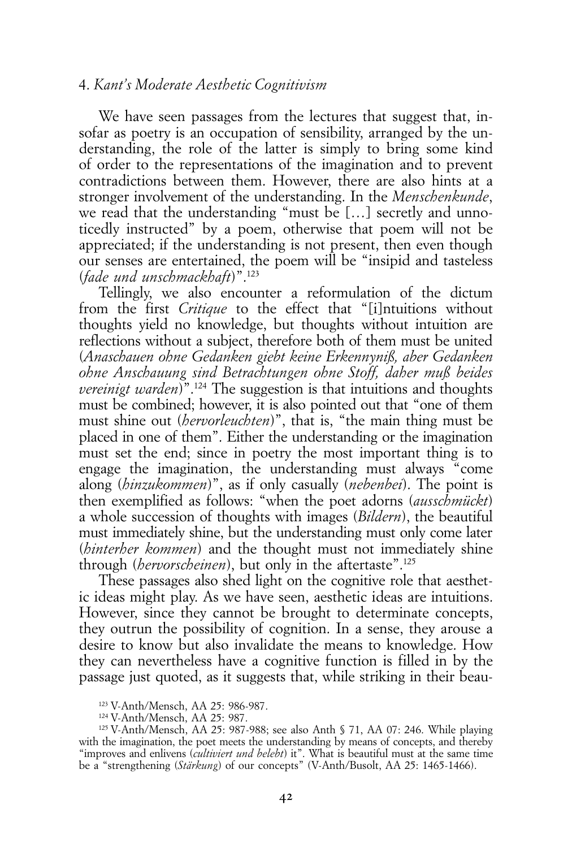### 4. *Kant's Moderate Aesthetic Cognitivism*

We have seen passages from the lectures that suggest that, insofar as poetry is an occupation of sensibility, arranged by the understanding, the role of the latter is simply to bring some kind of order to the representations of the imagination and to prevent contradictions between them. However, there are also hints at a stronger involvement of the understanding. In the *Menschenkunde*, we read that the understanding "must be […] secretly and unnoticedly instructed" by a poem, otherwise that poem will not be appreciated; if the understanding is not present, then even though our senses are entertained, the poem will be "insipid and tasteless (*fade und unschmackhaft*)".123

Tellingly, we also encounter a reformulation of the dictum from the first *Critique* to the effect that "[i]ntuitions without thoughts yield no knowledge, but thoughts without intuition are reflections without a subject, therefore both of them must be united (*Anaschauen ohne Gedanken giebt keine Erkennyniß, aber Gedanken ohne Anschauung sind Betrachtungen ohne Stoff, daher muß beides vereinigt warden*)".<sup>124</sup> The suggestion is that intuitions and thoughts must be combined; however, it is also pointed out that "one of them must shine out (*hervorleuchten*)", that is, "the main thing must be placed in one of them". Either the understanding or the imagination must set the end; since in poetry the most important thing is to engage the imagination, the understanding must always "come along (*hinzukommen*)", as if only casually (*nebenbei*). The point is then exemplified as follows: "when the poet adorns (*ausschmückt*) a whole succession of thoughts with images (*Bildern*), the beautiful must immediately shine, but the understanding must only come later (*hinterher kommen*) and the thought must not immediately shine through (*hervorscheinen*), but only in the aftertaste".125

These passages also shed light on the cognitive role that aesthetic ideas might play. As we have seen, aesthetic ideas are intuitions. However, since they cannot be brought to determinate concepts, they outrun the possibility of cognition. In a sense, they arouse a desire to know but also invalidate the means to knowledge. How they can nevertheless have a cognitive function is filled in by the passage just quoted, as it suggests that, while striking in their beau-

<sup>123</sup> V-Anth/Mensch, AA 25: 986-987.

<sup>124</sup> V-Anth/Mensch, AA 25: 987.

<sup>125</sup> V-Anth/Mensch, AA 25: 987-988; see also Anth § 71, AA 07: 246. While playing with the imagination, the poet meets the understanding by means of concepts, and thereby "improves and enlivens (*cultiviert und belebt*) it". What is beautiful must at the same time be a "strengthening (*Stärkung*) of our concepts" (V-Anth/Busolt, AA 25: 1465-1466).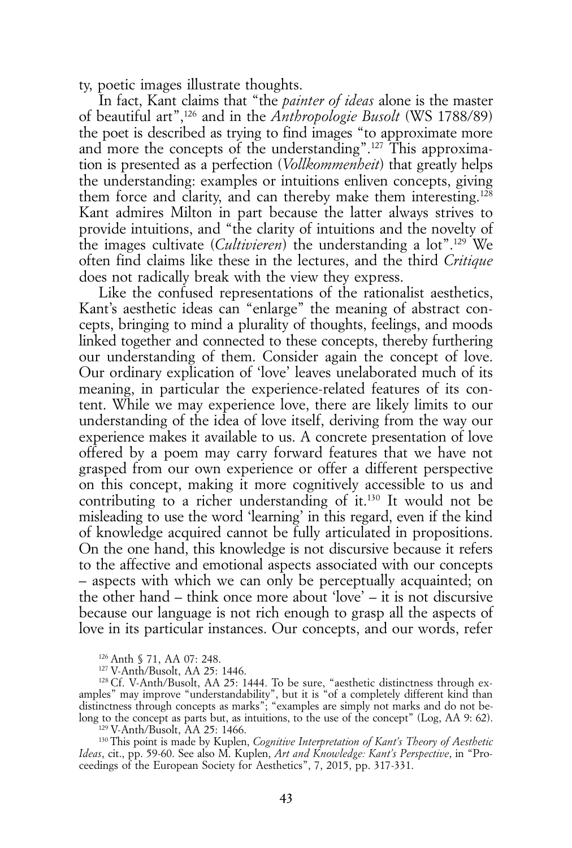ty, poetic images illustrate thoughts.

In fact, Kant claims that "the *painter of ideas* alone is the master of beautiful art",126 and in the *Anthropologie Busolt* (WS 1788/89) the poet is described as trying to find images "to approximate more and more the concepts of the understanding".127 This approximation is presented as a perfection (*Vollkommenheit*) that greatly helps the understanding: examples or intuitions enliven concepts, giving them force and clarity, and can thereby make them interesting.128 Kant admires Milton in part because the latter always strives to provide intuitions, and "the clarity of intuitions and the novelty of the images cultivate (*Cultivieren*) the understanding a lot".129 We often find claims like these in the lectures, and the third *Critique* does not radically break with the view they express.

Like the confused representations of the rationalist aesthetics, Kant's aesthetic ideas can "enlarge" the meaning of abstract concepts, bringing to mind a plurality of thoughts, feelings, and moods linked together and connected to these concepts, thereby furthering our understanding of them. Consider again the concept of love. Our ordinary explication of 'love' leaves unelaborated much of its meaning, in particular the experience-related features of its content. While we may experience love, there are likely limits to our understanding of the idea of love itself, deriving from the way our experience makes it available to us. A concrete presentation of love offered by a poem may carry forward features that we have not grasped from our own experience or offer a different perspective on this concept, making it more cognitively accessible to us and contributing to a richer understanding of it.130 It would not be misleading to use the word 'learning' in this regard, even if the kind of knowledge acquired cannot be fully articulated in propositions. On the one hand, this knowledge is not discursive because it refers to the affective and emotional aspects associated with our concepts – aspects with which we can only be perceptually acquainted; on the other hand – think once more about 'love' – it is not discursive because our language is not rich enough to grasp all the aspects of love in its particular instances. Our concepts, and our words, refer

129 V-Anth/Busolt, AA 25: 1466.

130 This point is made by Kuplen, *Cognitive Interpretation of Kant's Theory of Aesthetic Ideas*, cit., pp. 59-60. See also M. Kuplen, *Art and Knowledge: Kant's Perspective*, in "Proceedings of the European Society for Aesthetics", 7, 2015, pp. 317-331.

<sup>126</sup> Anth § 71, AA 07: 248.

<sup>127</sup> V-Anth/Busolt, AA 25: 1446.

<sup>128</sup> Cf. V-Anth/Busolt, AA 25: 1444. To be sure, "aesthetic distinctness through examples" may improve "understandability", but it is "of a completely different kind than distinctness through concepts as marks"; "examples are simply not marks and do not belong to the concept as parts but, as intuitions, to the use of the concept" (Log, AA 9: 62).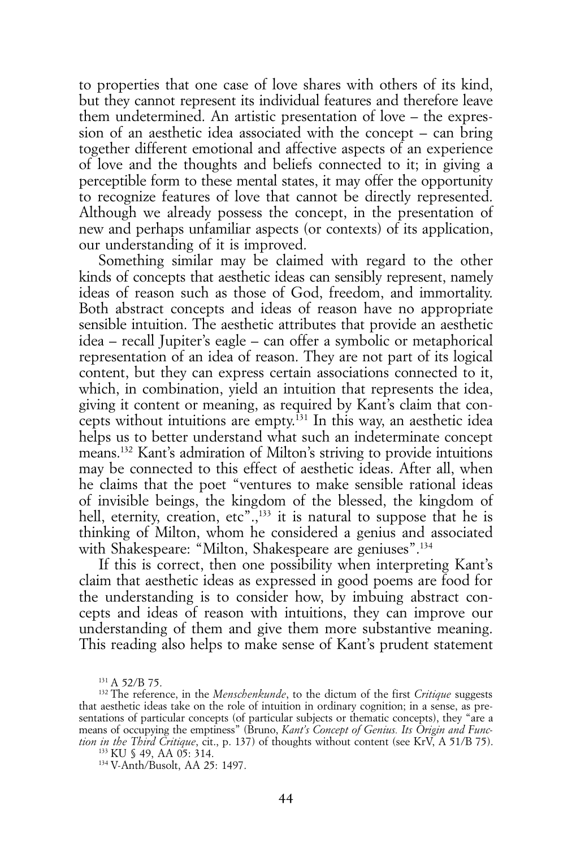to properties that one case of love shares with others of its kind, but they cannot represent its individual features and therefore leave them undetermined. An artistic presentation of love – the expression of an aesthetic idea associated with the concept – can bring together different emotional and affective aspects of an experience of love and the thoughts and beliefs connected to it; in giving a perceptible form to these mental states, it may offer the opportunity to recognize features of love that cannot be directly represented. Although we already possess the concept, in the presentation of new and perhaps unfamiliar aspects (or contexts) of its application, our understanding of it is improved.

Something similar may be claimed with regard to the other kinds of concepts that aesthetic ideas can sensibly represent, namely ideas of reason such as those of God, freedom, and immortality. Both abstract concepts and ideas of reason have no appropriate sensible intuition. The aesthetic attributes that provide an aesthetic idea – recall Jupiter's eagle – can offer a symbolic or metaphorical representation of an idea of reason. They are not part of its logical content, but they can express certain associations connected to it, which, in combination, yield an intuition that represents the idea, giving it content or meaning, as required by Kant's claim that concepts without intuitions are empty. $^{131}$  In this way, an aesthetic idea helps us to better understand what such an indeterminate concept means.132 Kant's admiration of Milton's striving to provide intuitions may be connected to this effect of aesthetic ideas. After all, when he claims that the poet "ventures to make sensible rational ideas of invisible beings, the kingdom of the blessed, the kingdom of hell, eternity, creation, etc".<sup>133</sup> it is natural to suppose that he is thinking of Milton, whom he considered a genius and associated with Shakespeare: "Milton, Shakespeare are geniuses".134

If this is correct, then one possibility when interpreting Kant's claim that aesthetic ideas as expressed in good poems are food for the understanding is to consider how, by imbuing abstract concepts and ideas of reason with intuitions, they can improve our understanding of them and give them more substantive meaning. This reading also helps to make sense of Kant's prudent statement

<sup>131</sup> A 52/B 75.

<sup>132</sup> The reference, in the *Menschenkunde*, to the dictum of the first *Critique* suggests that aesthetic ideas take on the role of intuition in ordinary cognition; in a sense, as presentations of particular concepts (of particular subjects or thematic concepts), they "are a means of occupying the emptiness" (Bruno, *Kant's Concept of Genius. Its Origin and Function in the Third Critique*, cit., p. 137) of thoughts without content (see KrV, A 51/B 75).

<sup>133</sup> KU § 49, AA 05: 314.

<sup>134</sup> V-Anth/Busolt, AA 25: 1497.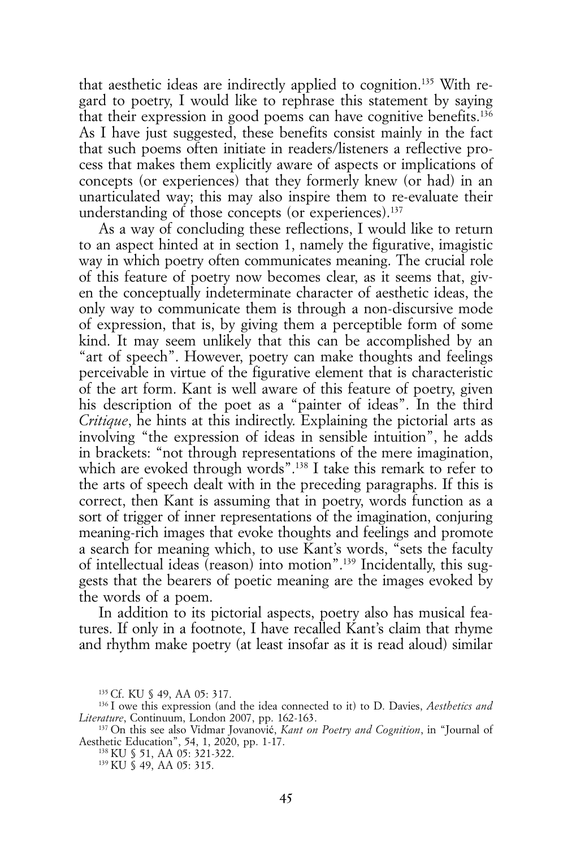that aesthetic ideas are indirectly applied to cognition.135 With regard to poetry, I would like to rephrase this statement by saying that their expression in good poems can have cognitive benefits.<sup>136</sup> As I have just suggested, these benefits consist mainly in the fact that such poems often initiate in readers/listeners a reflective process that makes them explicitly aware of aspects or implications of concepts (or experiences) that they formerly knew (or had) in an unarticulated way; this may also inspire them to re-evaluate their understanding of those concepts (or experiences).<sup>137</sup>

As a way of concluding these reflections, I would like to return to an aspect hinted at in section 1, namely the figurative, imagistic way in which poetry often communicates meaning. The crucial role of this feature of poetry now becomes clear, as it seems that, given the conceptually indeterminate character of aesthetic ideas, the only way to communicate them is through a non-discursive mode of expression, that is, by giving them a perceptible form of some kind. It may seem unlikely that this can be accomplished by an "art of speech". However, poetry can make thoughts and feelings perceivable in virtue of the figurative element that is characteristic of the art form. Kant is well aware of this feature of poetry, given his description of the poet as a "painter of ideas". In the third *Critique*, he hints at this indirectly. Explaining the pictorial arts as involving "the expression of ideas in sensible intuition", he adds in brackets: "not through representations of the mere imagination, which are evoked through words".<sup>138</sup> I take this remark to refer to the arts of speech dealt with in the preceding paragraphs. If this is correct, then Kant is assuming that in poetry, words function as a sort of trigger of inner representations of the imagination, conjuring meaning-rich images that evoke thoughts and feelings and promote a search for meaning which, to use Kant's words, "sets the faculty of intellectual ideas (reason) into motion".139 Incidentally, this suggests that the bearers of poetic meaning are the images evoked by the words of a poem.

In addition to its pictorial aspects, poetry also has musical features. If only in a footnote, I have recalled Kant's claim that rhyme and rhythm make poetry (at least insofar as it is read aloud) similar

<sup>135</sup> Cf. KU § 49, AA 05: 317.

<sup>136</sup> I owe this expression (and the idea connected to it) to D. Davies, *Aesthetics and Literature*, Continuum, London 2007, pp. 162-163.

<sup>137</sup> On this see also Vidmar Jovanović, *Kant on Poetry and Cognition*, in "Journal of Aesthetic Education", 54, 1, 2020, pp. 1-17.

<sup>138</sup> KU § 51, AA 05: 321-322.

<sup>139</sup> KU § 49, AA 05: 315.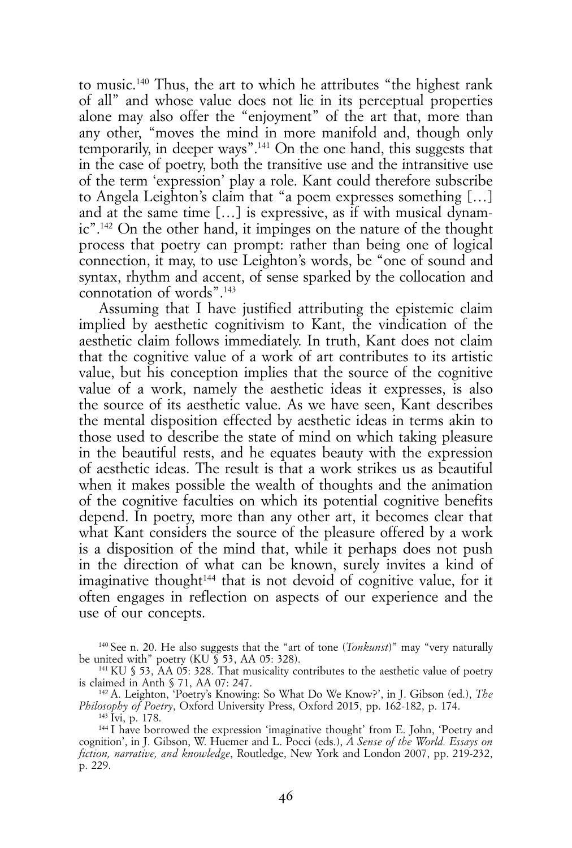to music.140 Thus, the art to which he attributes "the highest rank of all" and whose value does not lie in its perceptual properties alone may also offer the "enjoyment" of the art that, more than any other, "moves the mind in more manifold and, though only temporarily, in deeper ways".141 On the one hand, this suggests that in the case of poetry, both the transitive use and the intransitive use of the term 'expression' play a role. Kant could therefore subscribe to Angela Leighton's claim that "a poem expresses something […] and at the same time […] is expressive, as if with musical dynamic".142 On the other hand, it impinges on the nature of the thought process that poetry can prompt: rather than being one of logical connection, it may, to use Leighton's words, be "one of sound and syntax, rhythm and accent, of sense sparked by the collocation and connotation of words".143

Assuming that I have justified attributing the epistemic claim implied by aesthetic cognitivism to Kant, the vindication of the aesthetic claim follows immediately. In truth, Kant does not claim that the cognitive value of a work of art contributes to its artistic value, but his conception implies that the source of the cognitive value of a work, namely the aesthetic ideas it expresses, is also the source of its aesthetic value. As we have seen, Kant describes the mental disposition effected by aesthetic ideas in terms akin to those used to describe the state of mind on which taking pleasure in the beautiful rests, and he equates beauty with the expression of aesthetic ideas. The result is that a work strikes us as beautiful when it makes possible the wealth of thoughts and the animation of the cognitive faculties on which its potential cognitive benefits depend. In poetry, more than any other art, it becomes clear that what Kant considers the source of the pleasure offered by a work is a disposition of the mind that, while it perhaps does not push in the direction of what can be known, surely invites a kind of imaginative thought<sup>144</sup> that is not devoid of cognitive value, for it often engages in reflection on aspects of our experience and the use of our concepts.

<sup>&</sup>lt;sup>140</sup> See n. 20. He also suggests that the "art of tone (*Tonkunst*)" may "very naturally be united with" poetry (KU  $\overline{S}$  53, AA 05: 328).

<sup>141</sup> KU § 53, AA 05: 328. That musicality contributes to the aesthetic value of poetry is claimed in Anth § 71, AA 07: 247.

<sup>142</sup> A. Leighton, 'Poetry's Knowing: So What Do We Know?', in J. Gibson (ed.), *The Philosophy of Poetry*, Oxford University Press, Oxford 2015, pp. 162-182, p. 174.

<sup>143</sup> Ivi, p. 178.

<sup>144</sup> I have borrowed the expression 'imaginative thought' from E. John, 'Poetry and cognition', in J. Gibson, W. Huemer and L. Pocci (eds.), *A Sense of the World. Essays on fiction, narrative, and knowledge*, Routledge, New York and London 2007, pp. 219-232, p. 229.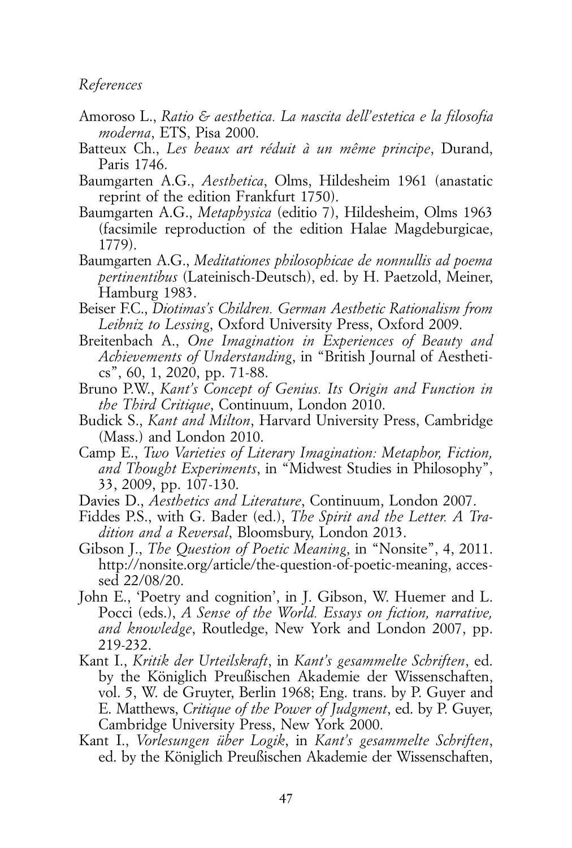### *References*

- Amoroso L., *Ratio & aesthetica. La nascita dell'estetica e la filosofia moderna*, ETS, Pisa 2000.
- Batteux Ch., *Les beaux art réduit à un même principe*, Durand, Paris 1746.
- Baumgarten A.G., *Aesthetica*, Olms, Hildesheim 1961 (anastatic reprint of the edition Frankfurt 1750).
- Baumgarten A.G., *Metaphysica* (editio 7), Hildesheim, Olms 1963 (facsimile reproduction of the edition Halae Magdeburgicae, 1779).
- Baumgarten A.G., *Meditationes philosophicae de nonnullis ad poema pertinentibus* (Lateinisch-Deutsch), ed. by H. Paetzold, Meiner, Hamburg 1983.
- Beiser F.C., *Diotimas's Children. German Aesthetic Rationalism from Leibniz to Lessing*, Oxford University Press, Oxford 2009.
- Breitenbach A., *One Imagination in Experiences of Beauty and Achievements of Understanding*, in "British Journal of Aesthetics", 60, 1, 2020, pp. 71-88.
- Bruno P.W., *Kant's Concept of Genius. Its Origin and Function in the Third Critique*, Continuum, London 2010.
- Budick S., *Kant and Milton*, Harvard University Press, Cambridge (Mass.) and London 2010.
- Camp E., *Two Varieties of Literary Imagination: Metaphor, Fiction, and Thought Experiments*, in "Midwest Studies in Philosophy", 33, 2009, pp. 107-130.
- Davies D., *Aesthetics and Literature*, Continuum, London 2007.
- Fiddes P.S., with G. Bader (ed.), *The Spirit and the Letter. A Tradition and a Reversal*, Bloomsbury, London 2013.
- Gibson J., *The Question of Poetic Meaning*, in "Nonsite", 4, 2011. http://nonsite.org/article/the-question-of-poetic-meaning, accessed 22/08/20.
- John E., 'Poetry and cognition', in J. Gibson, W. Huemer and L. Pocci (eds.), *A Sense of the World. Essays on fiction, narrative, and knowledge*, Routledge, New York and London 2007, pp. 219-232.
- Kant I., *Kritik der Urteilskraft*, in *Kant's gesammelte Schriften*, ed. by the Königlich Preußischen Akademie der Wissenschaften, vol. 5, W. de Gruyter, Berlin 1968; Eng. trans. by P. Guyer and E. Matthews, *Critique of the Power of Judgment*, ed. by P. Guyer, Cambridge University Press, New York 2000.
- Kant I., *Vorlesungen über Logik*, in *Kant's gesammelte Schriften*, ed. by the Königlich Preußischen Akademie der Wissenschaften,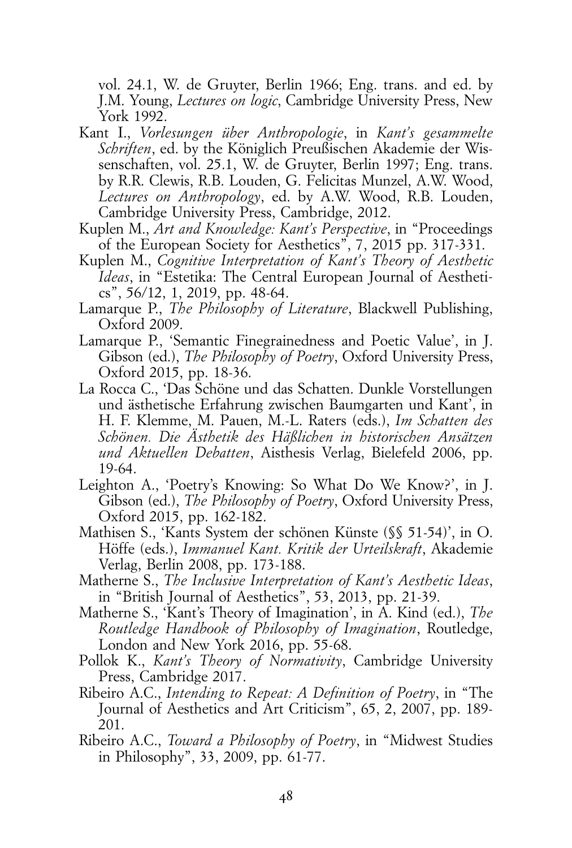vol. 24.1, W. de Gruyter, Berlin 1966; Eng. trans. and ed. by J.M. Young, *Lectures on logic*, Cambridge University Press, New York 1992.

- Kant I., *Vorlesungen über Anthropologie*, in *Kant's gesammelte Schriften*, ed. by the Königlich Preußischen Akademie der Wissenschaften, vol. 25.1, W. de Gruyter, Berlin 1997; Eng. trans. by R.R. Clewis, R.B. Louden, G. Felicitas Munzel, A.W. Wood, *Lectures on Anthropology*, ed. by A.W. Wood, R.B. Louden, Cambridge University Press, Cambridge, 2012.
- Kuplen M., *Art and Knowledge: Kant's Perspective*, in "Proceedings of the European Society for Aesthetics", 7, 2015 pp. 317-331.
- Kuplen M., *Cognitive Interpretation of Kant's Theory of Aesthetic Ideas*, in "Estetika: The Central European Journal of Aesthetics", 56/12, 1, 2019, pp. 48-64.
- Lamarque P., *The Philosophy of Literature*, Blackwell Publishing, Oxford 2009.
- Lamarque P., 'Semantic Finegrainedness and Poetic Value', in J. Gibson (ed.), *The Philosophy of Poetry*, Oxford University Press, Oxford 2015, pp. 18-36.
- La Rocca C., 'Das Schöne und das Schatten. Dunkle Vorstellungen und ästhetische Erfahrung zwischen Baumgarten und Kant', in H. F. Klemme, M. Pauen, M.-L. Raters (eds.), *Im Schatten des Schönen. Die Ästhetik des Häßlichen in historischen Ansätzen und Aktuellen Debatten*, Aisthesis Verlag, Bielefeld 2006, pp. 19-64.
- Leighton A., 'Poetry's Knowing: So What Do We Know?', in J. Gibson (ed.), *The Philosophy of Poetry*, Oxford University Press, Oxford 2015, pp. 162-182.
- Mathisen S., 'Kants System der schönen Künste (§§ 51-54)', in O. Höffe (eds.), *Immanuel Kant. Kritik der Urteilskraft*, Akademie Verlag, Berlin 2008, pp. 173-188.
- Matherne S., *The Inclusive Interpretation of Kant's Aesthetic Ideas*, in "British Journal of Aesthetics", 53, 2013, pp. 21-39.
- Matherne S., 'Kant's Theory of Imagination', in A. Kind (ed.), *The Routledge Handbook of Philosophy of Imagination*, Routledge, London and New York 2016, pp. 55-68.
- Pollok K., *Kant's Theory of Normativity*, Cambridge University Press, Cambridge 2017.
- Ribeiro A.C., *Intending to Repeat: A Definition of Poetry*, in "The Journal of Aesthetics and Art Criticism", 65, 2, 2007, pp. 189- 201.
- Ribeiro A.C., *Toward a Philosophy of Poetry*, in "Midwest Studies in Philosophy", 33, 2009, pp. 61-77.